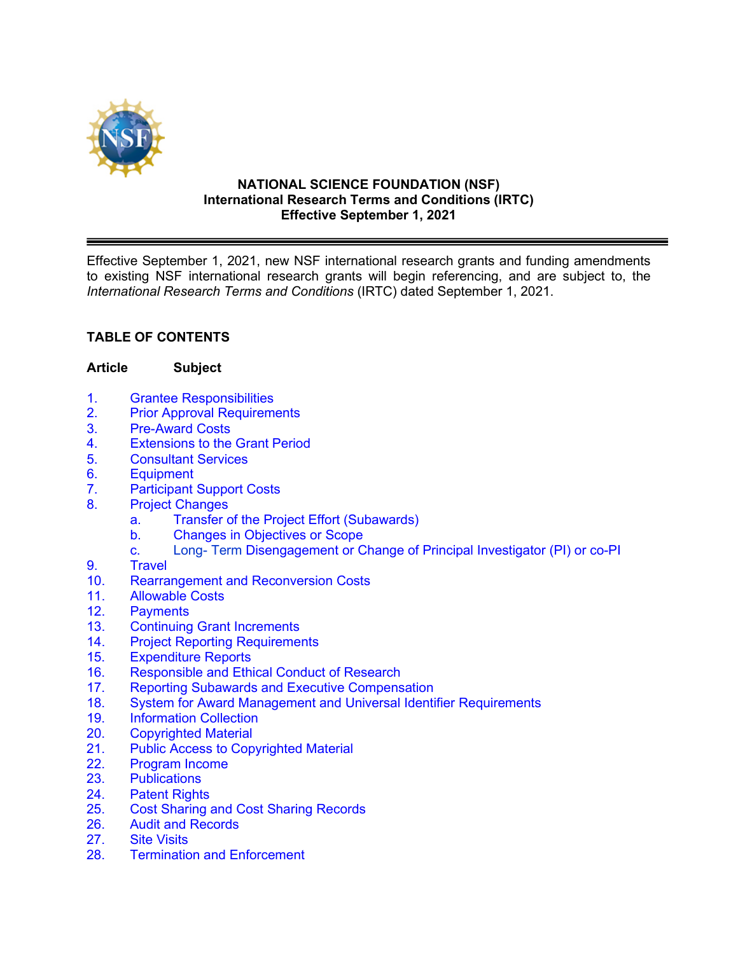

#### **NATIONAL SCIENCE FOUNDATION (NSF) International Research Terms and Conditions (IRTC) Effective September 1, 2021**

Effective September 1, 2021, new NSF international research grants and funding amendments to existing NSF international research grants will begin referencing, and are subject to, the *International Research Terms and Conditions* (IRTC) dated September 1, 2021.

## **TABLE OF CONTENTS**

### **Article Subject**

- 1. Grantee [Responsibilities](#page-2-0)
- 2. Prior [Approval Requirements](#page-3-0)
- 3. [Pre-Award Costs](#page-3-0)
- 4. [Extensions to the Grant Period](#page-3-0)
- 5. [Consultant Services](#page-4-0)
- 6. [Equipment](#page-4-0)
- 7. [Participant Support Costs](#page-5-0)
- 8. [Project Changes](#page-5-0)
	- [a. Transfer of the Project Effort \(Subawards\)](#page-5-0)
	- [b. Changes in Objectives or Scope](#page-6-0)
	- c. [Long- Term Disengagement or Change of Principal Investigator](#page-6-0) (PI) or co-PI
- 9. [Travel](#page-6-0)
- 10. Rearrangement [and Reconversion Costs](#page-9-0)
- 11. [Allowable Costs](#page-10-0)
- 12. [Payments](#page-10-0)
- 13. [Continuing Grant](#page-10-0) Increments
- 14. [Project Reporting](#page-11-0) Requirements<br>15. Expenditure Reports
- Expenditure Reports
- 16. [Responsible and Ethical Conduct of Research](#page-12-0)
- 17. [Reporting Subawards and Executive Compensation](#page-13-0)
- [18. System for Award Management and Universal Identifier](#page-16-0) Requirements
- 19. [Information Collection](#page-17-0)
- 20. [Copyrighted](#page-17-0) Material<br>21. Public Access to Cop
- [Public Access to Copyrighted Material](#page-18-0)
- 22. [Program Income](#page-18-0)<br>23. Publications
- **[Publications](#page-20-0)**
- 24. [Patent Rights](#page-20-0)
- 25. Cost [Sharing and Cost](#page-20-0) Sharing Records
- 26. [Audit and Records](#page-21-0)
- 27. [Site Visits](#page-22-0)
- 28. Termination [and Enforcement](#page-22-0)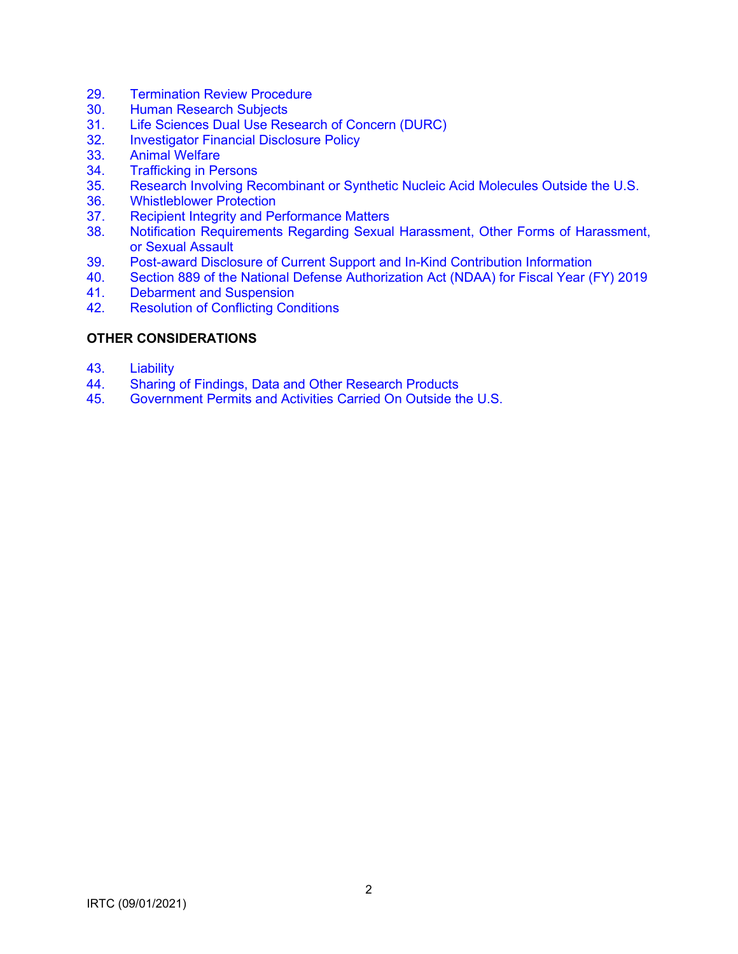- 29. [Termination Review Procedure](#page-23-0)
- 30. [Human Research Subjects](#page-24-0)
- 31. [Life Sciences Dual Use Research of Concern \(DURC\)](#page-24-0)<br>32. Investigator Financial Disclosure Policy
- **[Investigator Financial Disclosure Policy](#page-24-0)**
- 33. [Animal Welfare](#page-24-0)
- 34. [Trafficking in Persons](#page-24-0)<br>35. Research Involving Re
- 35. Research Involving Recombinant [or Synthetic Nucleic Acid Molecules Outside the U.S.](#page-24-0)
- 36. [Whistleblower Protection](#page-25-0)
- 37. [Recipient Integrity and Performance Matters](#page-25-0)<br>38. Notification Requirements Regarding Sexual
- Notification Requirements Regarding Sexual Harassment, Other Forms of Harassment, or Sexual Assault
- 39. [Post-award Disclosure of Current Support and In-Kind Contribution Information](#page-27-0)
- 40. [Section 889 of the National Defense Authorization Act \(NDAA\) for Fiscal Year \(FY\) 2019](#page-29-0)<br>41. Debarment and Suspension
- [Debarment and Suspension](#page-30-0)
- 42. [Resolution of Conflicting Conditions](#page-30-0)

## **OTHER CONSIDERATIONS**

- 43. [Liability](#page-30-0)
- 44. [Sharing of Findings, Data and Other Research Products](#page-31-0)<br>45. Government Permits and Activities Carried On Outside th
- 45. [Government Permits and Activities Carried On Outside the U.S.](#page-31-0)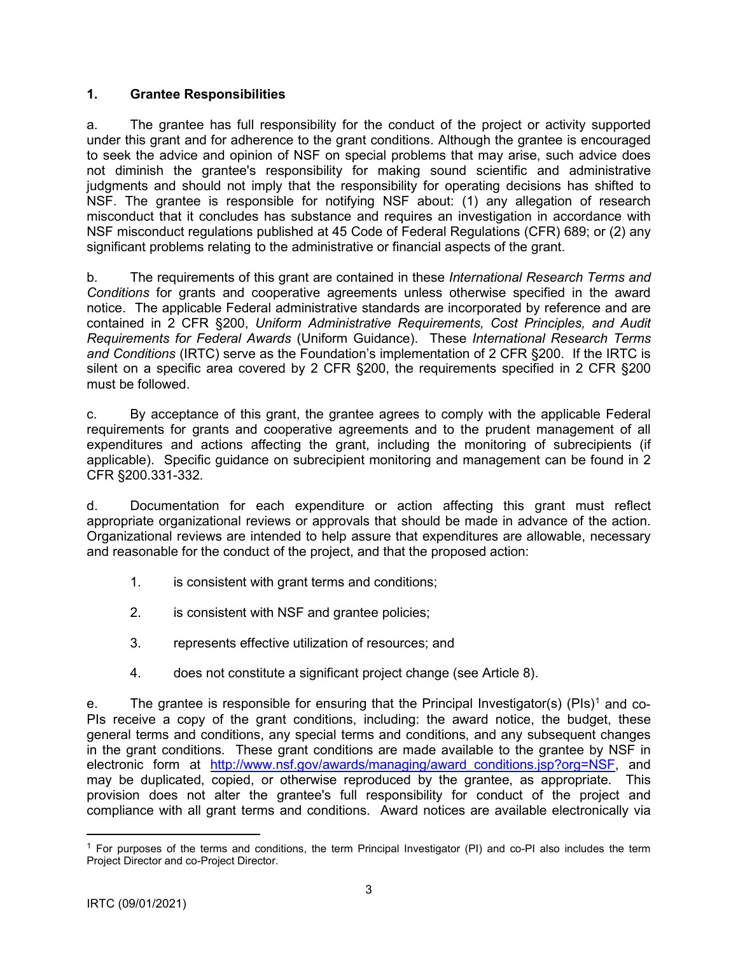## <span id="page-2-0"></span>**1. Grantee Responsibilities**

a. The grantee has full responsibility for the conduct of the project or activity supported under this grant and for adherence to the grant conditions. Although the grantee is encouraged to seek the advice and opinion of NSF on special problems that may arise, such advice does not diminish the grantee's responsibility for making sound scientific and administrative judgments and should not imply that the responsibility for operating decisions has shifted to NSF. The grantee is responsible for notifying NSF about: (1) any allegation of research misconduct that it concludes has substance and requires an investigation in accordance with NSF misconduct regulations published at 45 Code of Federal Regulations (CFR) 689; or (2) any significant problems relating to the administrative or financial aspects of the grant.

b. The requirements of this grant are contained in these *International Research Terms and Conditions* for grants and cooperative agreements unless otherwise specified in the award notice. The applicable Federal administrative standards are incorporated by reference and are contained in 2 CFR §200, *Uniform Administrative Requirements, Cost Principles, and Audit Requirements for Federal Awards* (Uniform Guidance). These *International Research Terms and Conditions* (IRTC) serve as the Foundation's implementation of 2 CFR §200. If the IRTC is silent on a specific area covered by 2 CFR §200, the requirements specified in 2 CFR §200 must be followed.

c. By acceptance of this grant, the grantee agrees to comply with the applicable Federal requirements for grants and cooperative agreements and to the prudent management of all expenditures and actions affecting the grant, including the monitoring of subrecipients (if applicable). Specific guidance on subrecipient monitoring and management can be found in 2 CFR §200.331-332.

d. Documentation for each expenditure or action affecting this grant must reflect appropriate organizational reviews or approvals that should be made in advance of the action. Organizational reviews are intended to help assure that expenditures are allowable, necessary and reasonable for the conduct of the project, and that the proposed action:

- 1. is consistent with grant terms and conditions;
- 2. is consistent with NSF and grantee policies;
- 3. represents effective utilization of resources; and
- 4. does not constitute a significant project change (see Article 8).

e. The grantee is responsible for ensuring that the Principal Investigator(s) (PIs)<sup>[1](#page-2-1)</sup> and co-PIs receive a copy of the grant conditions, including: the award notice, the budget, these general terms and conditions, any special terms and conditions, and any subsequent changes in the grant conditions. These grant conditions are made available to the grantee by NSF in electronic form at http://www.nsf.gov/awards/managing/award conditions.jsp?org=NSF, and may be duplicated, copied, or otherwise reproduced by the grantee, as appropriate. This provision does not alter the grantee's full responsibility for conduct of the project and compliance with all grant terms and conditions. Award notices are available electronically via

<span id="page-2-1"></span><sup>&</sup>lt;sup>1</sup> For purposes of the terms and conditions, the term Principal Investigator (PI) and co-PI also includes the term Project Director and co-Project Director.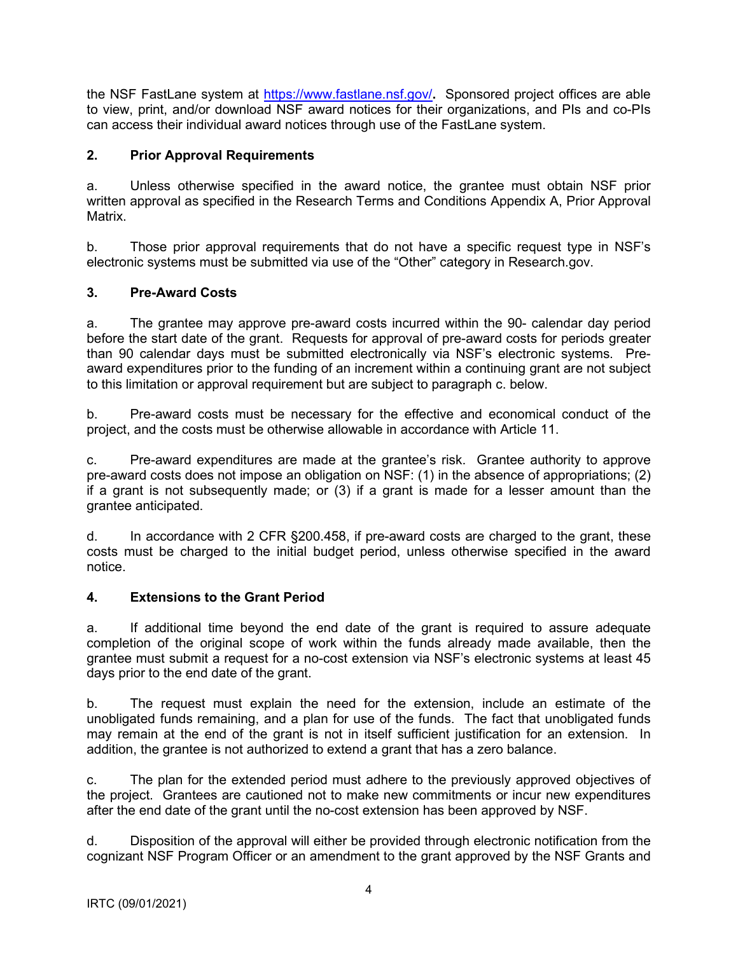<span id="page-3-0"></span>the NSF FastLane system at<https://www.fastlane.nsf.gov/>**.** Sponsored project offices are able to view, print, and/or download NSF award notices for their organizations, and PIs and co-PIs can access their individual award notices through use of the FastLane system.

## **2. Prior Approval Requirements**

a. Unless otherwise specified in the award notice, the grantee must obtain NSF prior written approval as specified in the Research Terms and Conditions Appendix A, Prior Approval Matrix.

b. Those prior approval requirements that do not have a specific request type in NSF's electronic systems must be submitted via use of the "Other" category in Research.gov.

# **3. Pre-Award Costs**

a. The grantee may approve pre-award costs incurred within the 90- calendar day period before the start date of the grant. Requests for approval of pre-award costs for periods greater than 90 calendar days must be submitted electronically via NSF's electronic systems. Preaward expenditures prior to the funding of an increment within a continuing grant are not subject to this limitation or approval requirement but are subject to paragraph c. below.

b. Pre-award costs must be necessary for the effective and economical conduct of the project, and the costs must be otherwise allowable in accordance with Article 11.

c. Pre-award expenditures are made at the grantee's risk. Grantee authority to approve pre-award costs does not impose an obligation on NSF: (1) in the absence of appropriations; (2) if a grant is not subsequently made; or (3) if a grant is made for a lesser amount than the grantee anticipated.

d. In accordance with 2 CFR §200.458, if pre-award costs are charged to the grant, these costs must be charged to the initial budget period, unless otherwise specified in the award notice.

## **4. Extensions to the Grant Period**

a. If additional time beyond the end date of the grant is required to assure adequate completion of the original scope of work within the funds already made available, then the grantee must submit a request for a no-cost extension via NSF's electronic systems at least 45 days prior to the end date of the grant.

b. The request must explain the need for the extension, include an estimate of the unobligated funds remaining, and a plan for use of the funds. The fact that unobligated funds may remain at the end of the grant is not in itself sufficient justification for an extension. In addition, the grantee is not authorized to extend a grant that has a zero balance.

c. The plan for the extended period must adhere to the previously approved objectives of the project. Grantees are cautioned not to make new commitments or incur new expenditures after the end date of the grant until the no-cost extension has been approved by NSF.

d. Disposition of the approval will either be provided through electronic notification from the cognizant NSF Program Officer or an amendment to the grant approved by the NSF Grants and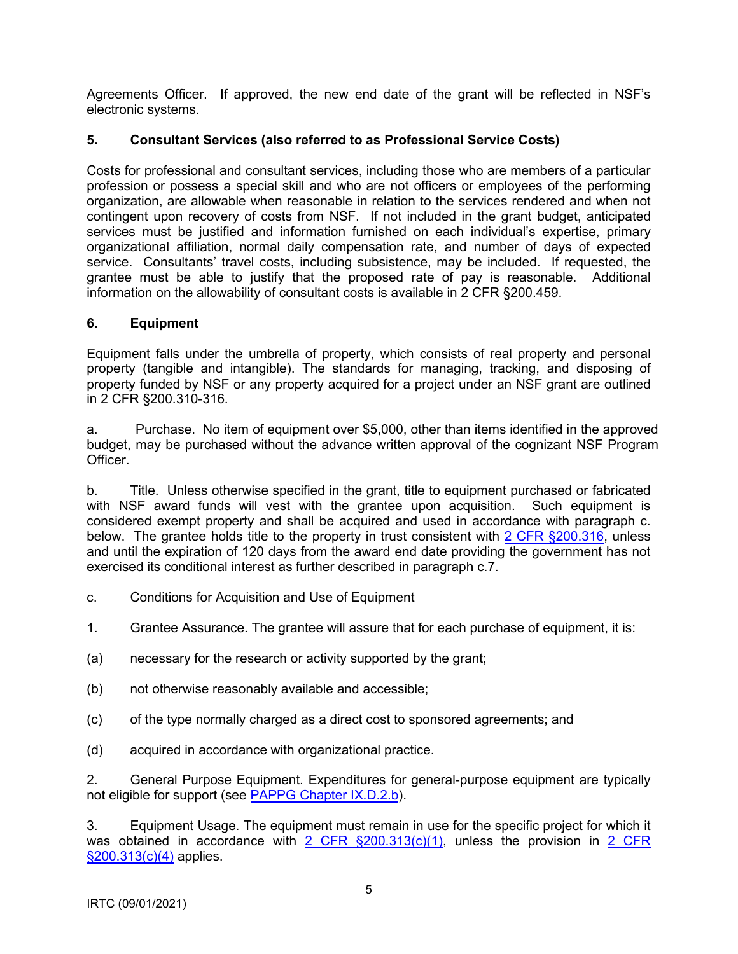<span id="page-4-0"></span>Agreements Officer. If approved, the new end date of the grant will be reflected in NSF's electronic systems.

## **5. Consultant Services (also referred to as Professional Service Costs)**

Costs for professional and consultant services, including those who are members of a particular profession or possess a special skill and who are not officers or employees of the performing organization, are allowable when reasonable in relation to the services rendered and when not contingent upon recovery of costs from NSF. If not included in the grant budget, anticipated services must be justified and information furnished on each individual's expertise, primary organizational affiliation, normal daily compensation rate, and number of days of expected service. Consultants' travel costs, including subsistence, may be included. If requested, the grantee must be able to justify that the proposed rate of pay is reasonable. Additional information on the allowability of consultant costs is available in 2 CFR §200.459.

## **6. Equipment**

Equipment falls under the umbrella of property, which consists of real property and personal property (tangible and intangible). The standards for managing, tracking, and disposing of property funded by NSF or any property acquired for a project under an NSF grant are outlined in 2 CFR §200.310-316.

a. Purchase. No item of equipment over \$5,000, other than items identified in the approved budget, may be purchased without the advance written approval of the cognizant NSF Program **Officer** 

b. Title. Unless otherwise specified in the grant, title to equipment purchased or fabricated with NSF award funds will vest with the grantee upon acquisition. Such equipment is considered exempt property and shall be acquired and used in accordance with paragraph c. below. The grantee holds title to the property in trust consistent with 2 CFR §200.316, unless and until the expiration of 120 days from the award end date providing the government has not exercised its conditional interest as further described in paragraph c.7.

- c. Conditions for Acquisition and Use of Equipment
- 1. Grantee Assurance. The grantee will assure that for each purchase of equipment, it is:
- (a) necessary for the research or activity supported by the grant;
- (b) not otherwise reasonably available and accessible;
- (c) of the type normally charged as a direct cost to sponsored agreements; and
- (d) acquired in accordance with organizational practice.

2. General Purpose Equipment. Expenditures for general-purpose equipment are typically not eligible for support (see PAPPG Chapter IX.D.2.b).

3. Equipment Usage. The equipment must remain in use for the specific project for which it was obtained in accordance with  $2$  CFR  $\S200.313(c)(1)$ , unless the provision in  $2$  CFR §200.313(c)(4) applies.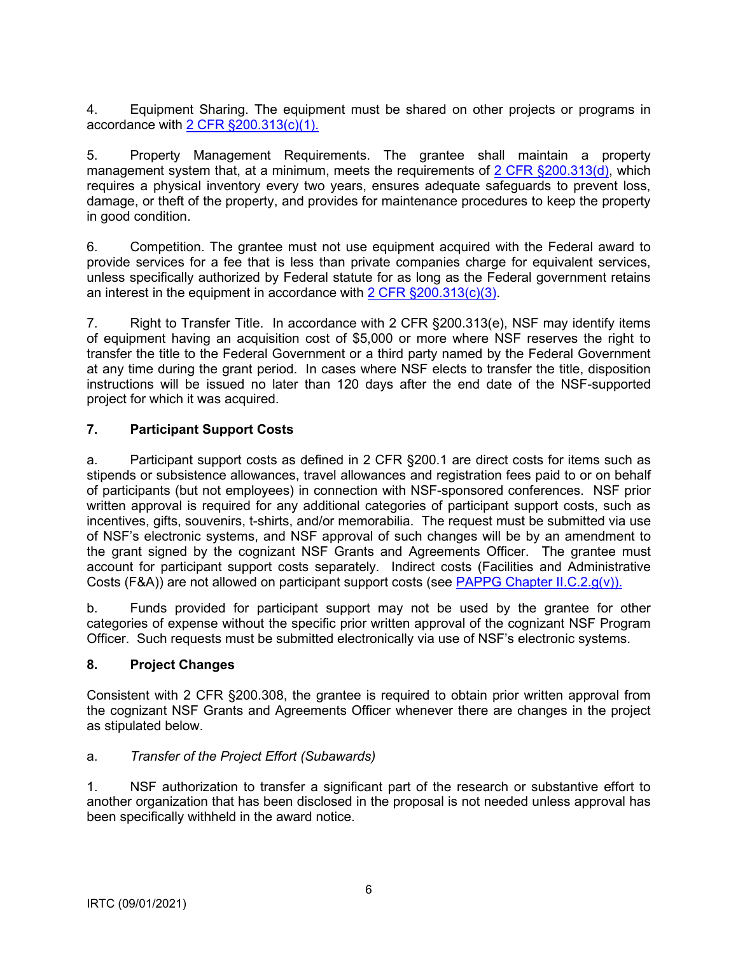<span id="page-5-0"></span>4. Equipment Sharing. The equipment must be shared on other projects or programs in accordance with 2 CFR §200.313(c)(1).

5. Property Management Requirements. The grantee shall maintain a property management system that, at a minimum, meets the requirements of 2 CFR  $\S200.313(d)$ , which requires a physical inventory every two years, ensures adequate safeguards to prevent loss, damage, or theft of the property, and provides for maintenance procedures to keep the property in good condition.

6. Competition. The grantee must not use equipment acquired with the Federal award to provide services for a fee that is less than private companies charge for equivalent services, unless specifically authorized by Federal statute for as long as the Federal government retains an interest in the equipment in accordance with 2 CFR §200.313(c)(3).

7. Right to Transfer Title. In accordance with 2 CFR §200.313(e), NSF may identify items of equipment having an acquisition cost of \$5,000 or more where NSF reserves the right to transfer the title to the Federal Government or a third party named by the Federal Government at any time during the grant period. In cases where NSF elects to transfer the title, disposition instructions will be issued no later than 120 days after the end date of the NSF-supported project for which it was acquired.

## **7. Participant Support Costs**

a. Participant support costs as defined in 2 CFR §200.1 are direct costs for items such as stipends or subsistence allowances, travel allowances and registration fees paid to or on behalf of participants (but not employees) in connection with NSF-sponsored conferences. NSF prior written approval is required for any additional categories of participant support costs, such as incentives, gifts, souvenirs, t-shirts, and/or memorabilia. The request must be submitted via use of NSF's electronic systems, and NSF approval of such changes will be by an amendment to the grant signed by the cognizant NSF Grants and Agreements Officer. The grantee must account for participant support costs separately. Indirect costs (Facilities and Administrative Costs (F&A)) are not allowed on participant support costs (se[e PAPPG Chapter II.C.2.g\(v\)\).](https://www.nsf.gov/pubs/policydocs/pappg20_1/pappg_2.jsp#IIC2gv)

b. Funds provided for participant support may not be used by the grantee for other categories of expense without the specific prior written approval of the cognizant NSF Program Officer. Such requests must be submitted electronically via use of NSF's electronic systems.

## **8. Project Changes**

Consistent with 2 CFR §200.308, the grantee is required to obtain prior written approval from the cognizant NSF Grants and Agreements Officer whenever there are changes in the project as stipulated below.

## a. *Transfer of the Project Effort (Subawards)*

1. NSF authorization to transfer a significant part of the research or substantive effort to another organization that has been disclosed in the proposal is not needed unless approval has been specifically withheld in the award notice.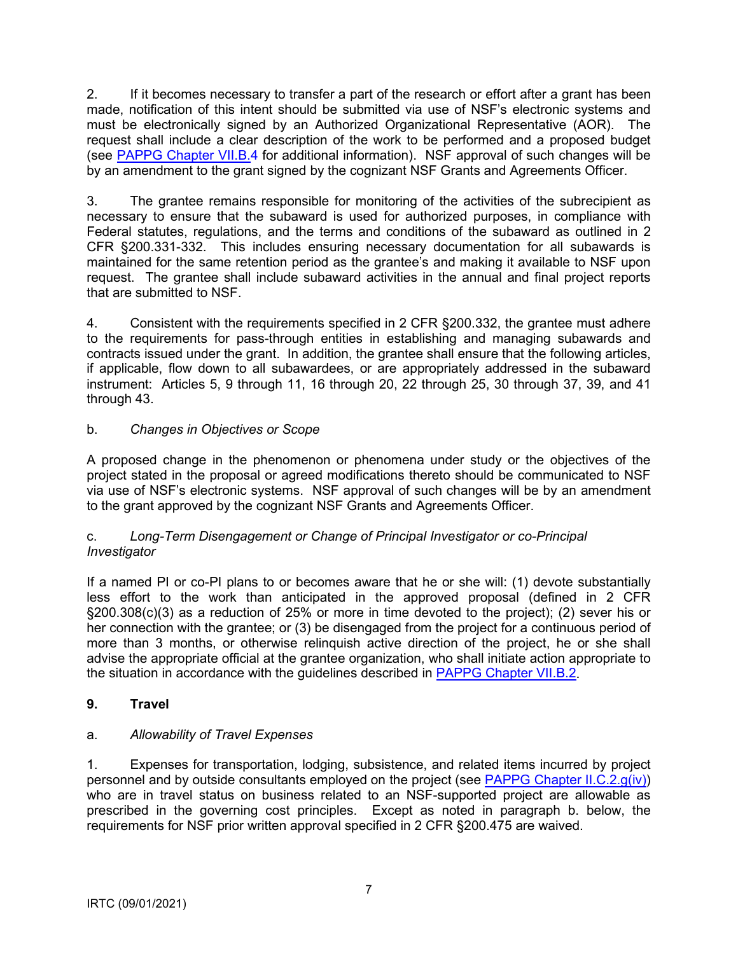<span id="page-6-0"></span>2. If it becomes necessary to transfer a part of the research or effort after a grant has been made, notification of this intent should be submitted via use of NSF's electronic systems and must be electronically signed by an Authorized Organizational Representative (AOR). The request shall include a clear description of the work to be performed and a proposed budget (see [PAPPG Chapter VII.B.4](https://www.nsf.gov/pubs/policydocs/pappg20_1/pappg_7.jsp#VIIB4) for additional information). NSF approval of such changes will be by an amendment to the grant signed by the cognizant NSF Grants and Agreements Officer.

3. The grantee remains responsible for monitoring of the activities of the subrecipient as necessary to ensure that the subaward is used for authorized purposes, in compliance with Federal statutes, regulations, and the terms and conditions of the subaward as outlined in 2 CFR §200.331-332. This includes ensuring necessary documentation for all subawards is maintained for the same retention period as the grantee's and making it available to NSF upon request. The grantee shall include subaward activities in the annual and final project reports that are submitted to NSF.

4. Consistent with the requirements specified in 2 CFR §200.332, the grantee must adhere to the requirements for pass-through entities in establishing and managing subawards and contracts issued under the grant. In addition, the grantee shall ensure that the following articles, if applicable, flow down to all subawardees, or are appropriately addressed in the subaward instrument: Articles 5, 9 through 11, 16 through 20, 22 through 25, 30 through 37, 39, and 41 through 43.

# b. *Changes in Objectives or Scope*

A proposed change in the phenomenon or phenomena under study or the objectives of the project stated in the proposal or agreed modifications thereto should be communicated to NSF via use of NSF's electronic systems. NSF approval of such changes will be by an amendment to the grant approved by the cognizant NSF Grants and Agreements Officer.

### c. *Long-Term Disengagement or Change of Principal Investigator or co-Principal Investigator*

If a named PI or co-PI plans to or becomes aware that he or she will: (1) devote substantially less effort to the work than anticipated in the approved proposal (defined in 2 CFR §200.308(c)(3) as a reduction of 25% or more in time devoted to the project); (2) sever his or her connection with the grantee; or (3) be disengaged from the project for a continuous period of more than 3 months, or otherwise relinquish active direction of the project, he or she shall advise the appropriate official at the grantee organization, who shall initiate action appropriate to the situation in accordance with the guidelines described in [PAPPG Chapter VII.B.2.](https://www.nsf.gov/pubs/policydocs/pappg20_1/pappg_7.jsp#VIIB2) 

## **9. Travel**

## a. *Allowability of Travel Expenses*

1. Expenses for transportation, lodging, subsistence, and related items incurred by project personnel and by outside consultants employed on the project (see [PAPPG Chapter II.C.2.g\(iv\)\)](https://www.nsf.gov/pubs/policydocs/pappg20_1/pappg_2.jsp#IIC2giv) who are in travel status on business related to an NSF-supported project are allowable as prescribed in the governing cost principles. Except as noted in paragraph b. below, the requirements for NSF prior written approval specified in 2 CFR §200.475 are waived.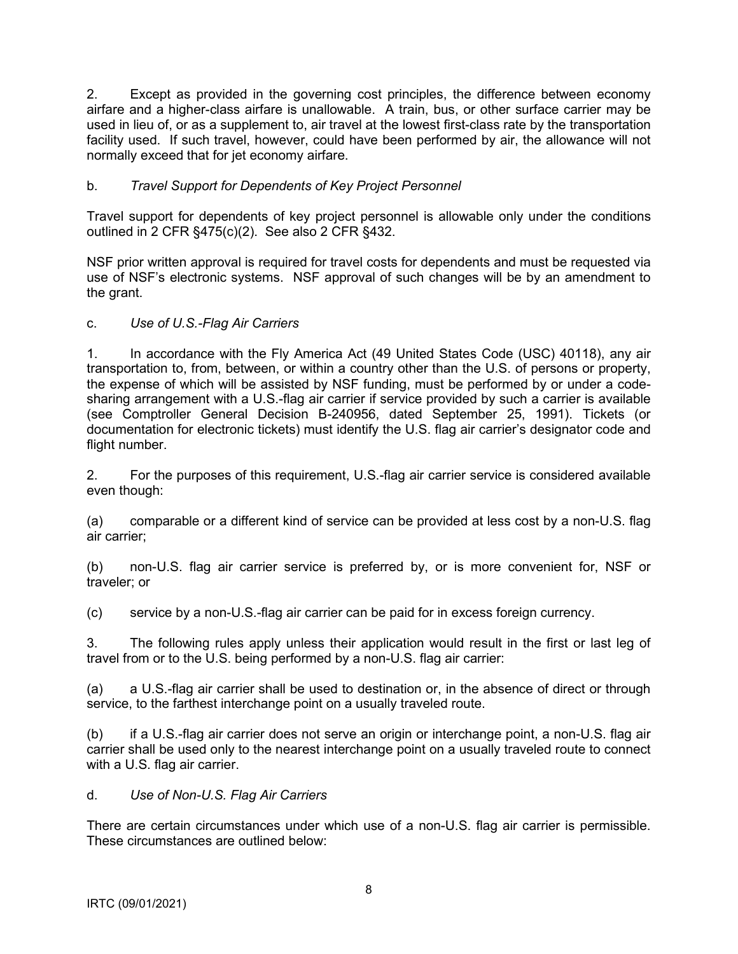2. Except as provided in the governing cost principles, the difference between economy airfare and a higher-class airfare is unallowable. A train, bus, or other surface carrier may be used in lieu of, or as a supplement to, air travel at the lowest first-class rate by the transportation facility used. If such travel, however, could have been performed by air, the allowance will not normally exceed that for jet economy airfare.

## b. *Travel Support for Dependents of Key Project Personnel*

Travel support for dependents of key project personnel is allowable only under the conditions outlined in 2 CFR §475(c)(2). See also 2 CFR §432.

NSF prior written approval is required for travel costs for dependents and must be requested via use of NSF's electronic systems. NSF approval of such changes will be by an amendment to the grant.

### c. *Use of U.S.-Flag Air Carriers*

1. In accordance with the Fly America Act (49 United States Code (USC) 40118), any air transportation to, from, between, or within a country other than the U.S. of persons or property, the expense of which will be assisted by NSF funding, must be performed by or under a codesharing arrangement with a U.S.-flag air carrier if service provided by such a carrier is available (see Comptroller General Decision B-240956, dated September 25, 1991). Tickets (or documentation for electronic tickets) must identify the U.S. flag air carrier's designator code and flight number.

2. For the purposes of this requirement, U.S.-flag air carrier service is considered available even though:

(a) comparable or a different kind of service can be provided at less cost by a non-U.S. flag air carrier;

(b) non-U.S. flag air carrier service is preferred by, or is more convenient for, NSF or traveler; or

(c) service by a non-U.S.-flag air carrier can be paid for in excess foreign currency.

3. The following rules apply unless their application would result in the first or last leg of travel from or to the U.S. being performed by a non-U.S. flag air carrier:

(a) a U.S.-flag air carrier shall be used to destination or, in the absence of direct or through service, to the farthest interchange point on a usually traveled route.

(b) if a U.S.-flag air carrier does not serve an origin or interchange point, a non-U.S. flag air carrier shall be used only to the nearest interchange point on a usually traveled route to connect with a U.S. flag air carrier.

d. *Use of Non-U.S. Flag Air Carriers*

There are certain circumstances under which use of a non-U.S. flag air carrier is permissible. These circumstances are outlined below: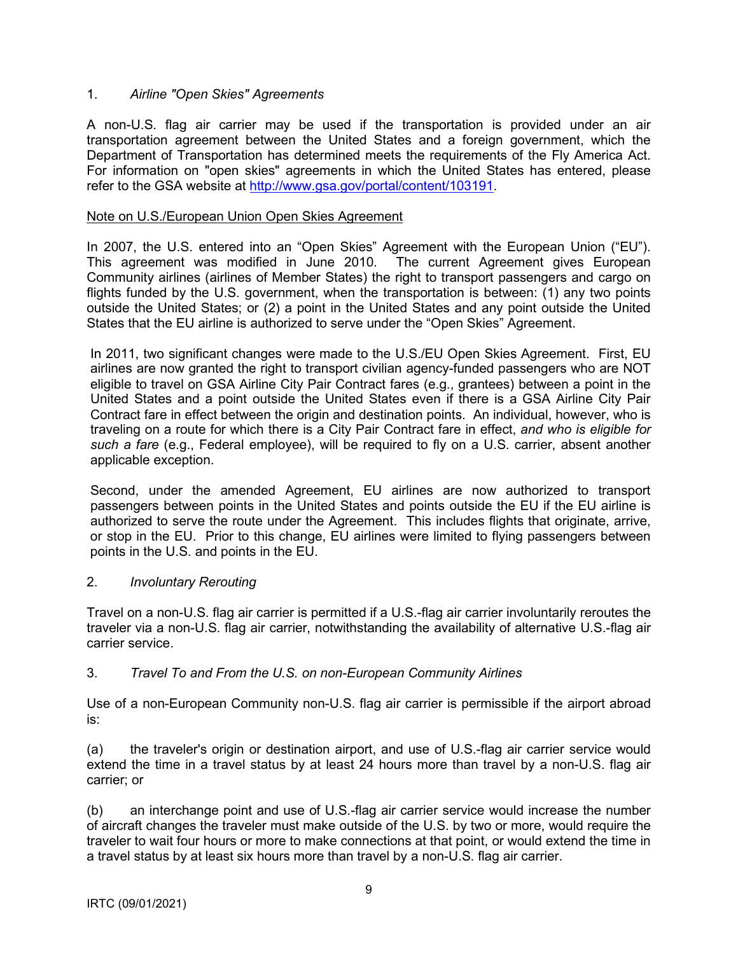### 1. *Airline "Open Skies" Agreements*

A non-U.S. flag air carrier may be used if the transportation is provided under an air transportation agreement between the United States and a foreign government, which the Department of Transportation has determined meets the requirements of the Fly America Act. For information on "open skies" agreements in which the United States has entered, please refer to the GSA website at <http://www.gsa.gov/portal/content/103191>.

### Note on U.S./European Union Open Skies Agreement

In 2007, the U.S. entered into an "Open Skies" Agreement with the European Union ("EU"). This agreement was modified in June 2010. The current Agreement gives European Community airlines (airlines of Member States) the right to transport passengers and cargo on flights funded by the U.S. government, when the transportation is between: (1) any two points outside the United States; or (2) a point in the United States and any point outside the United States that the EU airline is authorized to serve under the "Open Skies" Agreement.

In 2011, two significant changes were made to the U.S./EU Open Skies Agreement. First, EU airlines are now granted the right to transport civilian agency-funded passengers who are NOT eligible to travel on GSA Airline City Pair Contract fares (e.g., grantees) between a point in the United States and a point outside the United States even if there is a GSA Airline City Pair Contract fare in effect between the origin and destination points. An individual, however, who is traveling on a route for which there is a City Pair Contract fare in effect, *and who is eligible for such a fare* (e.g., Federal employee), will be required to fly on a U.S. carrier, absent another applicable exception.

Second, under the amended Agreement, EU airlines are now authorized to transport passengers between points in the United States and points outside the EU if the EU airline is authorized to serve the route under the Agreement. This includes flights that originate, arrive, or stop in the EU. Prior to this change, EU airlines were limited to flying passengers between points in the U.S. and points in the EU.

### 2. *Involuntary Rerouting*

Travel on a non-U.S. flag air carrier is permitted if a U.S.-flag air carrier involuntarily reroutes the traveler via a non-U.S. flag air carrier, notwithstanding the availability of alternative U.S.-flag air carrier service.

### 3. *Travel To and From the U.S. on non-European Community Airlines*

Use of a non-European Community non-U.S. flag air carrier is permissible if the airport abroad is:

(a) the traveler's origin or destination airport, and use of U.S.-flag air carrier service would extend the time in a travel status by at least 24 hours more than travel by a non-U.S. flag air carrier; or

(b) an interchange point and use of U.S.-flag air carrier service would increase the number of aircraft changes the traveler must make outside of the U.S. by two or more, would require the traveler to wait four hours or more to make connections at that point, or would extend the time in a travel status by at least six hours more than travel by a non-U.S. flag air carrier.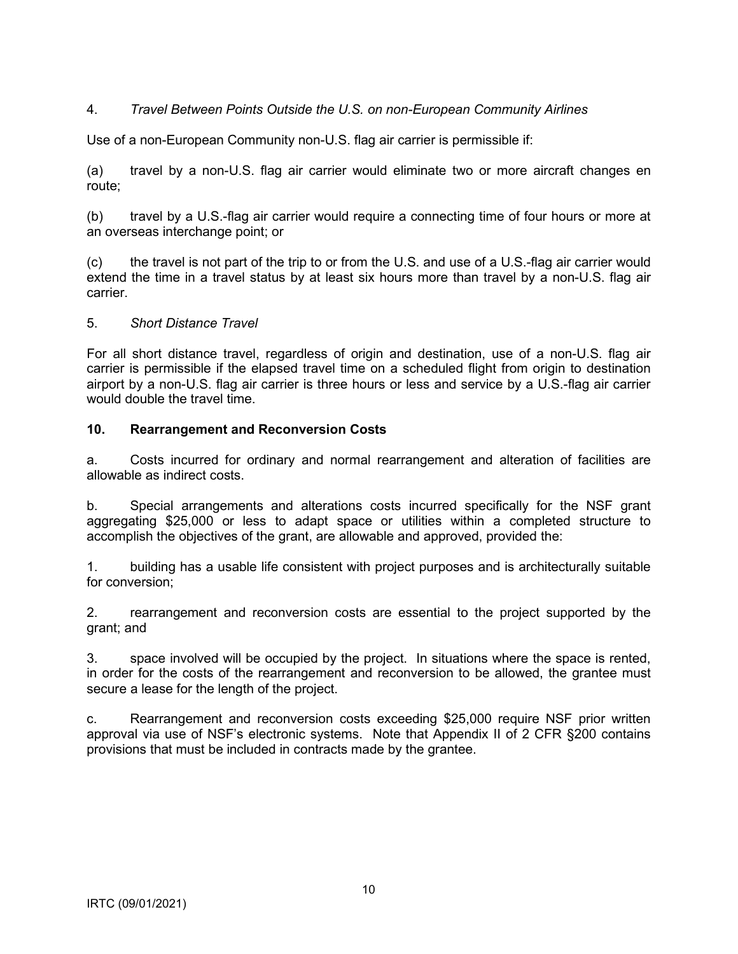## <span id="page-9-0"></span>4. *Travel Between Points Outside the U.S. on non-European Community Airlines*

Use of a non-European Community non-U.S. flag air carrier is permissible if:

(a) travel by a non-U.S. flag air carrier would eliminate two or more aircraft changes en route;

(b) travel by a U.S.-flag air carrier would require a connecting time of four hours or more at an overseas interchange point; or

(c) the travel is not part of the trip to or from the U.S. and use of a U.S.-flag air carrier would extend the time in a travel status by at least six hours more than travel by a non-U.S. flag air carrier.

#### 5. *Short Distance Travel*

For all short distance travel, regardless of origin and destination, use of a non-U.S. flag air carrier is permissible if the elapsed travel time on a scheduled flight from origin to destination airport by a non-U.S. flag air carrier is three hours or less and service by a U.S.-flag air carrier would double the travel time.

### **10. Rearrangement and Reconversion Costs**

a. Costs incurred for ordinary and normal rearrangement and alteration of facilities are allowable as indirect costs.

b. Special arrangements and alterations costs incurred specifically for the NSF grant aggregating \$25,000 or less to adapt space or utilities within a completed structure to accomplish the objectives of the grant, are allowable and approved, provided the:

1. building has a usable life consistent with project purposes and is architecturally suitable for conversion;

2. rearrangement and reconversion costs are essential to the project supported by the grant; and

3. space involved will be occupied by the project. In situations where the space is rented, in order for the costs of the rearrangement and reconversion to be allowed, the grantee must secure a lease for the length of the project.

c. Rearrangement and reconversion costs exceeding \$25,000 require NSF prior written approval via use of NSF's electronic systems. Note that Appendix II of 2 CFR §200 contains provisions that must be included in contracts made by the grantee.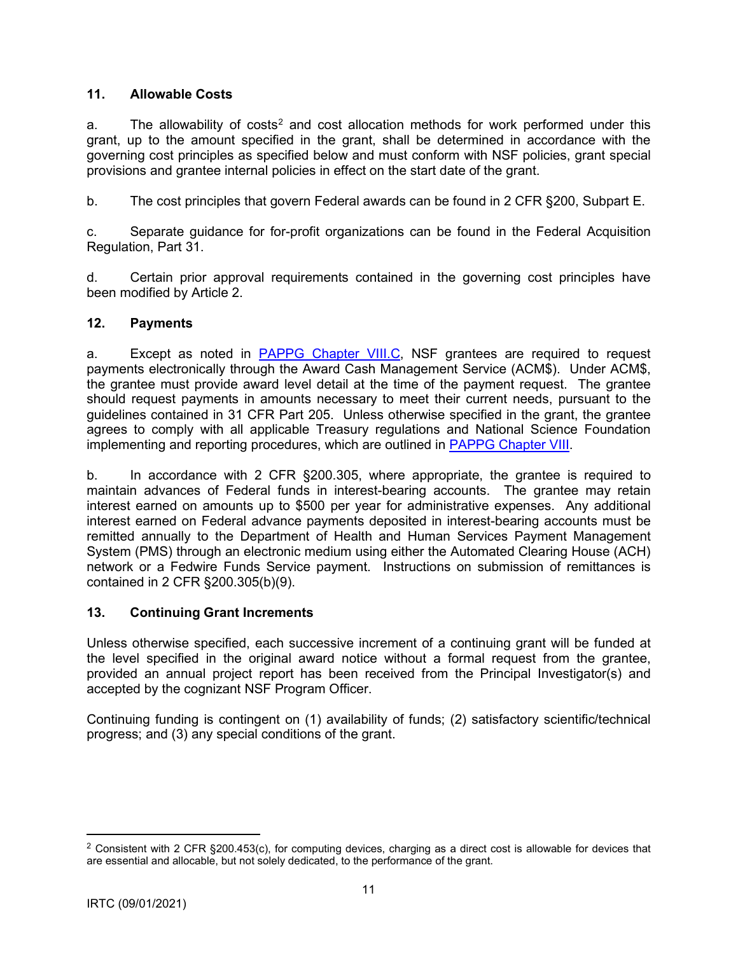## <span id="page-10-0"></span>**11. Allowable Costs**

a. The allowability of costs<sup>2</sup> and cost allocation methods for work performed under this grant, up to the amount specified in the grant, shall be determined in accordance with the governing cost principles as specified below and must conform with NSF policies, grant special provisions and grantee internal policies in effect on the start date of the grant.

b. The cost principles that govern Federal awards can be found in 2 CFR §200, Subpart E.

c. Separate guidance for for-profit organizations can be found in the Federal Acquisition Regulation, Part 31.

d. Certain prior approval requirements contained in the governing cost principles have been modified by Article 2.

## **12. Payments**

a. Except as noted in [PAPPG Chapter VIII.C,](https://www.nsf.gov/pubs/policydocs/pappg20_1/pappg_8.jsp#VIIIC) NSF grantees are required to request payments electronically through the Award Cash Management Service (ACM\$). Under ACM\$, the grantee must provide award level detail at the time of the payment request. The grantee should request payments in amounts necessary to meet their current needs, pursuant to the guidelines contained in 31 CFR Part 205. Unless otherwise specified in the grant, the grantee agrees to comply with all applicable Treasury regulations and National Science Foundation implementing and reporting procedures, which are outlined in [PAPPG Chapter VIII.](https://www.nsf.gov/pubs/policydocs/pappg20_1/pappg_8.jsp)

b. In accordance with 2 CFR §200.305, where appropriate, the grantee is required to maintain advances of Federal funds in interest-bearing accounts. The grantee may retain interest earned on amounts up to \$500 per year for administrative expenses. Any additional interest earned on Federal advance payments deposited in interest-bearing accounts must be remitted annually to the Department of Health and Human Services Payment Management System (PMS) through an electronic medium using either the Automated Clearing House (ACH) network or a Fedwire Funds Service payment. Instructions on submission of remittances is contained in 2 CFR §200.305(b)(9).

## **13. Continuing Grant Increments**

Unless otherwise specified, each successive increment of a continuing grant will be funded at the level specified in the original award notice without a formal request from the grantee, provided an annual project report has been received from the Principal Investigator(s) and accepted by the cognizant NSF Program Officer.

Continuing funding is contingent on (1) availability of funds; (2) satisfactory scientific/technical progress; and (3) any special conditions of the grant.

<sup>&</sup>lt;sup>2</sup> Consistent with 2 CFR §200.453(c), for computing devices, charging as a direct cost is allowable for devices that are essential and allocable, but not solely dedicated, to the performance of the grant.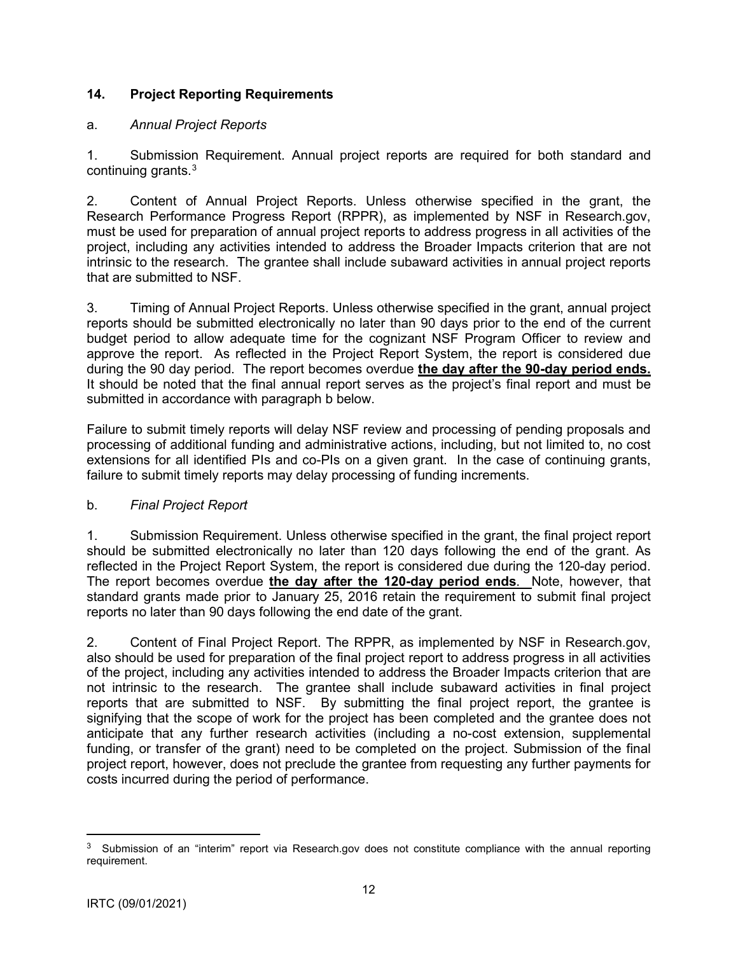## <span id="page-11-0"></span>**14. Project Reporting Requirements**

### a. *Annual Project Reports*

1. Submission Requirement. Annual project reports are required for both standard and continuing grants.3

2. Content of Annual Project Reports. Unless otherwise specified in the grant, the Research Performance Progress Report (RPPR), as implemented by NSF in Research.gov, must be used for preparation of annual project reports to address progress in all activities of the project, including any activities intended to address the Broader Impacts criterion that are not intrinsic to the research. The grantee shall include subaward activities in annual project reports that are submitted to NSF.

3. Timing of Annual Project Reports. Unless otherwise specified in the grant, annual project reports should be submitted electronically no later than 90 days prior to the end of the current budget period to allow adequate time for the cognizant NSF Program Officer to review and approve the report. As reflected in the Project Report System, the report is considered due during the 90 day period. The report becomes overdue **the day after the 90-day period ends.** It should be noted that the final annual report serves as the project's final report and must be submitted in accordance with paragraph b below.

Failure to submit timely reports will delay NSF review and processing of pending proposals and processing of additional funding and administrative actions, including, but not limited to, no cost extensions for all identified PIs and co-PIs on a given grant. In the case of continuing grants, failure to submit timely reports may delay processing of funding increments.

### b. *Final Project Report*

1. Submission Requirement. Unless otherwise specified in the grant, the final project report should be submitted electronically no later than 120 days following the end of the grant. As reflected in the Project Report System, the report is considered due during the 120-day period. The report becomes overdue **the day after the 120-day period ends**. Note, however, that standard grants made prior to January 25, 2016 retain the requirement to submit final project reports no later than 90 days following the end date of the grant.

2. Content of Final Project Report. The RPPR, as implemented by NSF in Research.gov, also should be used for preparation of the final project report to address progress in all activities of the project, including any activities intended to address the Broader Impacts criterion that are not intrinsic to the research. The grantee shall include subaward activities in final project reports that are submitted to NSF. By submitting the final project report, the grantee is signifying that the scope of work for the project has been completed and the grantee does not anticipate that any further research activities (including a no-cost extension, supplemental funding, or transfer of the grant) need to be completed on the project. Submission of the final project report, however, does not preclude the grantee from requesting any further payments for costs incurred during the period of performance.

<sup>3</sup> Submission of an "interim" report via Research.gov does not constitute compliance with the annual reporting requirement.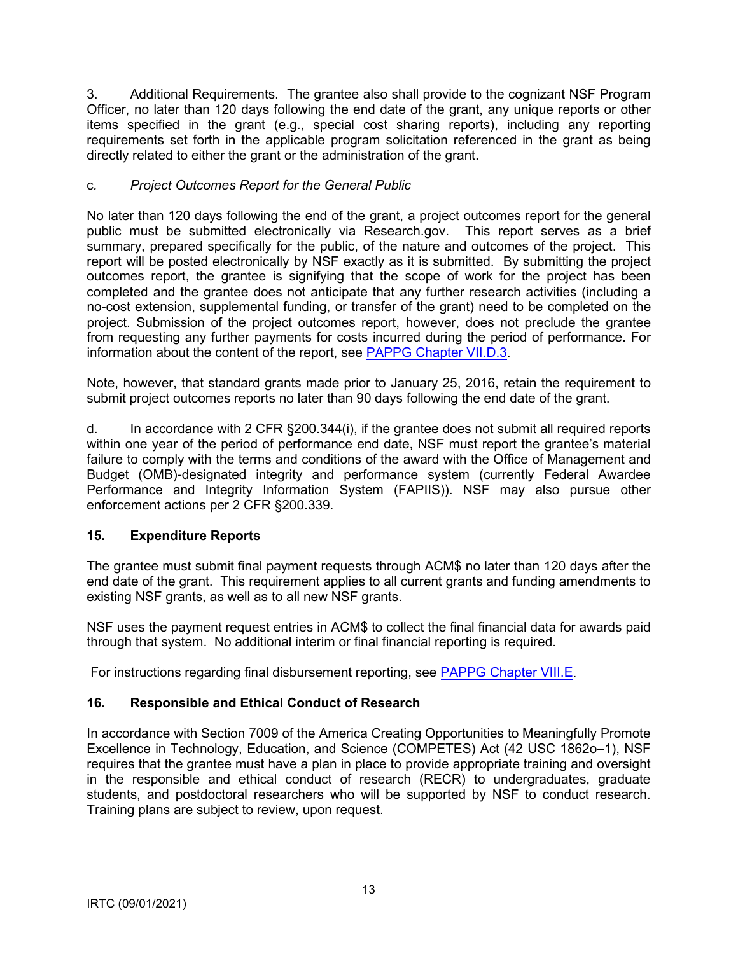<span id="page-12-0"></span>3. Additional Requirements. The grantee also shall provide to the cognizant NSF Program Officer, no later than 120 days following the end date of the grant, any unique reports or other items specified in the grant (e.g., special cost sharing reports), including any reporting requirements set forth in the applicable program solicitation referenced in the grant as being directly related to either the grant or the administration of the grant.

## c*. Project Outcomes Report for the General Public*

No later than 120 days following the end of the grant, a project outcomes report for the general public must be submitted electronically via Research.gov. This report serves as a brief summary, prepared specifically for the public, of the nature and outcomes of the project. This report will be posted electronically by NSF exactly as it is submitted. By submitting the project outcomes report, the grantee is signifying that the scope of work for the project has been completed and the grantee does not anticipate that any further research activities (including a no-cost extension, supplemental funding, or transfer of the grant) need to be completed on the project. Submission of the project outcomes report, however, does not preclude the grantee from requesting any further payments for costs incurred during the period of performance. For information about the content of the report, see [PAPPG Chapter VII.D.3.](https://www.nsf.gov/pubs/policydocs/pappg20_1/pappg_7.jsp#VIID3)

Note, however, that standard grants made prior to January 25, 2016, retain the requirement to submit project outcomes reports no later than 90 days following the end date of the grant.

d. In accordance with 2 CFR §200.344(i), if the grantee does not submit all required reports within one year of the period of performance end date, NSF must report the grantee's material failure to comply with the terms and conditions of the award with the Office of Management and Budget (OMB)-designated integrity and performance system (currently Federal Awardee Performance and Integrity Information System (FAPIIS)). NSF may also pursue other enforcement actions per 2 CFR §200.339.

# **15. Expenditure Reports**

The grantee must submit final payment requests through ACM\$ no later than 120 days after the end date of the grant. This requirement applies to all current grants and funding amendments to existing NSF grants, as well as to all new NSF grants.

NSF uses the payment request entries in ACM\$ to collect the final financial data for awards paid through that system. No additional interim or final financial reporting is required.

For instructions regarding final disbursement reporting, see [PAPPG Chapter VIII.E.](https://www.nsf.gov/pubs/policydocs/pappg20_1/pappg_8.jsp#VIIIE)

# **16. Responsible and Ethical Conduct of Research**

In accordance with Section 7009 of the America Creating Opportunities to Meaningfully Promote Excellence in Technology, Education, and Science (COMPETES) Act (42 USC 1862o–1), NSF requires that the grantee must have a plan in place to provide appropriate training and oversight in the responsible and ethical conduct of research (RECR) to undergraduates, graduate students, and postdoctoral researchers who will be supported by NSF to conduct research. Training plans are subject to review, upon request.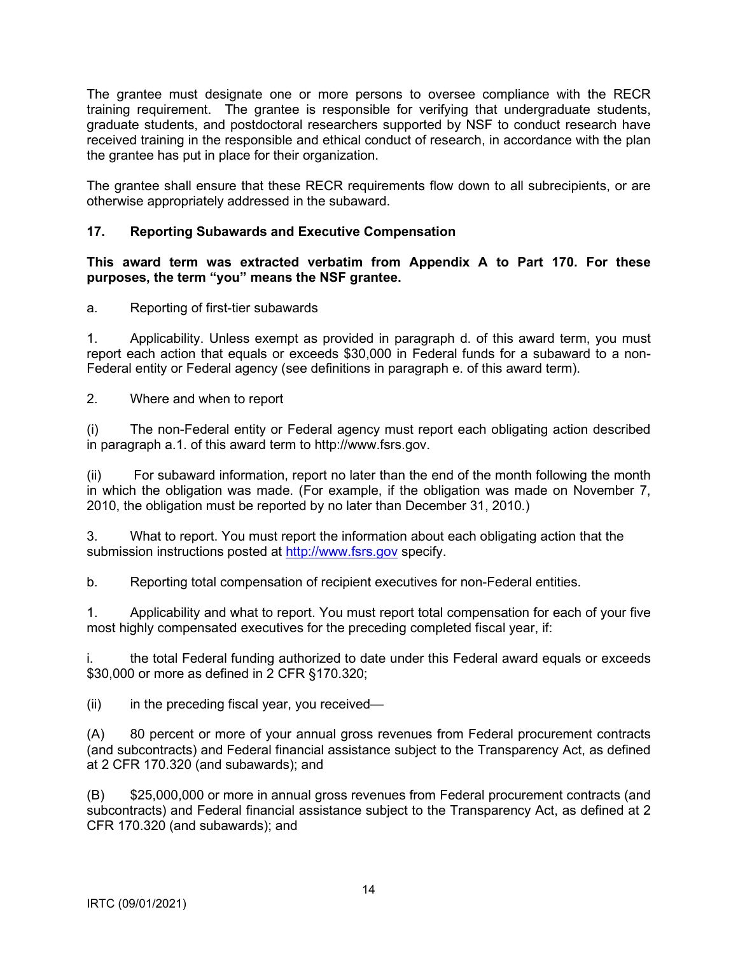<span id="page-13-0"></span>The grantee must designate one or more persons to oversee compliance with the RECR training requirement. The grantee is responsible for verifying that undergraduate students, graduate students, and postdoctoral researchers supported by NSF to conduct research have received training in the responsible and ethical conduct of research, in accordance with the plan the grantee has put in place for their organization.

The grantee shall ensure that these RECR requirements flow down to all subrecipients, or are otherwise appropriately addressed in the subaward.

## **17. Reporting Subawards and Executive Compensation**

**This award term was extracted verbatim from Appendix A to Part 170. For these purposes, the term "you" means the NSF grantee.**

a. Reporting of first-tier subawards

1. Applicability. Unless exempt as provided in paragraph d. of this award term, you must report each action that equals or exceeds \$30,000 in Federal funds for a subaward to a non-Federal entity or Federal agency (see definitions in paragraph e. of this award term).

2. Where and when to report

(i) The non-Federal entity or Federal agency must report each obligating action described in paragraph a.1. of this award term to http://www.fsrs.gov.

(ii) For subaward information, report no later than the end of the month following the month in which the obligation was made. (For example, if the obligation was made on November 7, 2010, the obligation must be reported by no later than December 31, 2010.)

3. What to report. You must report the information about each obligating action that the submission instructions posted at [http://www.fsrs.gov](http://www.fsrs.gov/) specify.

b. Reporting total compensation of recipient executives for non-Federal entities.

1. Applicability and what to report. You must report total compensation for each of your five most highly compensated executives for the preceding completed fiscal year, if:

i. the total Federal funding authorized to date under this Federal award equals or exceeds \$30,000 or more as defined in 2 CFR §170.320;

 $(ii)$  in the preceding fiscal year, you received—

(A) 80 percent or more of your annual gross revenues from Federal procurement contracts (and subcontracts) and Federal financial assistance subject to the Transparency Act, as defined at 2 CFR 170.320 (and subawards); and

(B) \$25,000,000 or more in annual gross revenues from Federal procurement contracts (and subcontracts) and Federal financial assistance subject to the Transparency Act, as defined at 2 CFR 170.320 (and subawards); and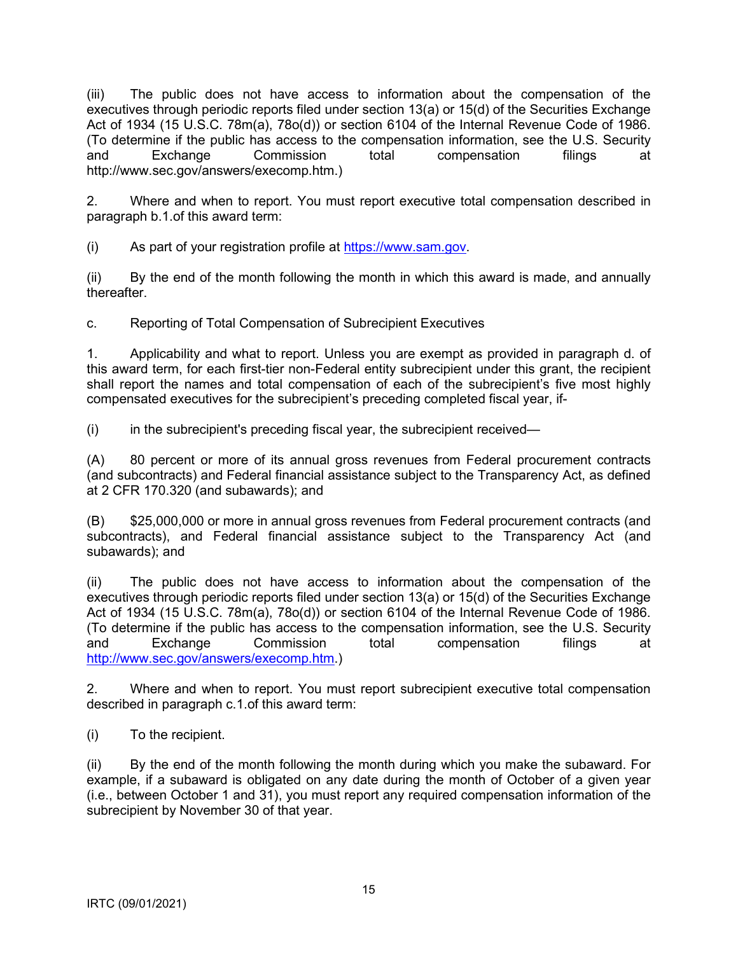(iii) The public does not have access to information about the compensation of the executives through periodic reports filed under section 13(a) or 15(d) of the Securities Exchange Act of 1934 (15 U.S.C. 78m(a), 78o(d)) or section 6104 of the Internal Revenue Code of 1986. (To determine if the public has access to the compensation information, see the U.S. Security and Exchange Commission total compensation filings at http://www.sec.gov/answers/execomp.htm.)

2. Where and when to report. You must report executive total compensation described in paragraph b.1.of this award term:

(i) As part of your registration profile at https://www.sam.gov.

(ii) By the end of the month following the month in which this award is made, and annually thereafter.

c. Reporting of Total Compensation of Subrecipient Executives

1. Applicability and what to report. Unless you are exempt as provided in paragraph d. of this award term, for each first-tier non-Federal entity subrecipient under this grant, the recipient shall report the names and total compensation of each of the subrecipient's five most highly compensated executives for the subrecipient's preceding completed fiscal year, if-

(i) in the subrecipient's preceding fiscal year, the subrecipient received—

(A) 80 percent or more of its annual gross revenues from Federal procurement contracts (and subcontracts) and Federal financial assistance subject to the Transparency Act, as defined at 2 CFR 170.320 (and subawards); and

(B) \$25,000,000 or more in annual gross revenues from Federal procurement contracts (and subcontracts), and Federal financial assistance subject to the Transparency Act (and subawards); and

(ii) The public does not have access to information about the compensation of the executives through periodic reports filed under section 13(a) or 15(d) of the Securities Exchange Act of 1934 (15 U.S.C. 78m(a), 78o(d)) or section 6104 of the Internal Revenue Code of 1986. (To determine if the public has access to the compensation information, see the U.S. Security and Exchange Commission total compensation filings at [http://www.sec.gov/answers/execomp.htm.](http://www.sec.gov/answers/execomp.htm))

2. Where and when to report. You must report subrecipient executive total compensation described in paragraph c.1.of this award term:

(i) To the recipient.

(ii) By the end of the month following the month during which you make the subaward. For example, if a subaward is obligated on any date during the month of October of a given year (i.e., between October 1 and 31), you must report any required compensation information of the subrecipient by November 30 of that year.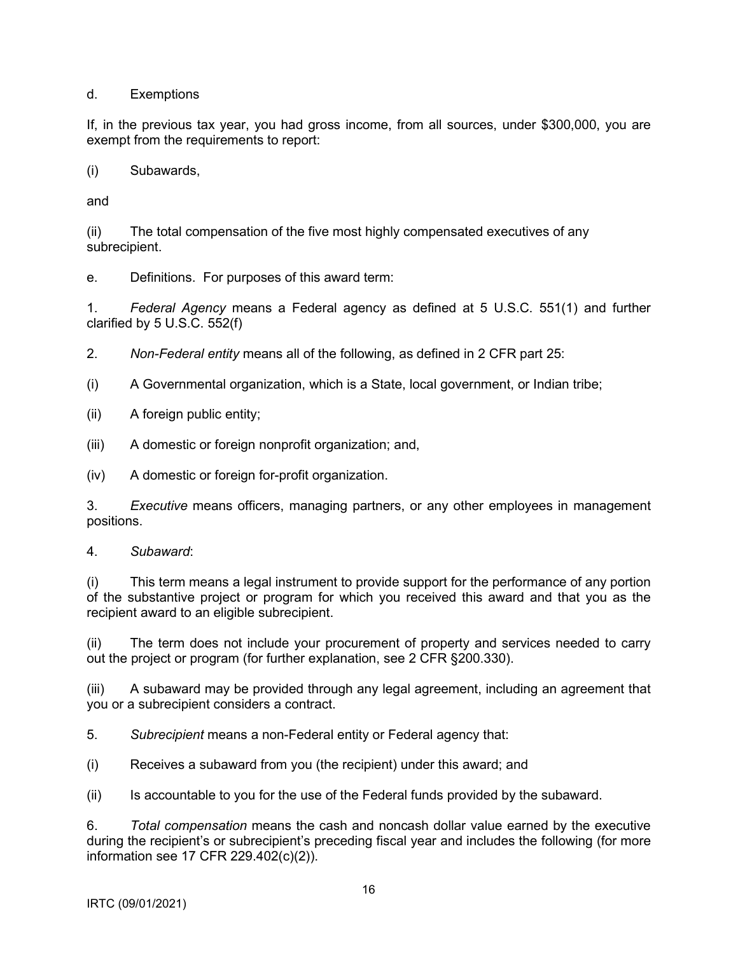d. Exemptions

If, in the previous tax year, you had gross income, from all sources, under \$300,000, you are exempt from the requirements to report:

(i) Subawards,

and

(ii) The total compensation of the five most highly compensated executives of any subrecipient.

e. Definitions. For purposes of this award term:

1. *Federal Agency* means a Federal agency as defined at 5 U.S.C. 551(1) and further clarified by 5 U.S.C. 552(f)

2. *Non-Federal entity* means all of the following, as defined in 2 CFR part 25:

(i) A Governmental organization, which is a State, local government, or Indian tribe;

(ii) A foreign public entity;

(iii) A domestic or foreign nonprofit organization; and,

(iv) A domestic or foreign for-profit organization.

3. *Executive* means officers, managing partners, or any other employees in management positions.

4. *Subaward*:

(i) This term means a legal instrument to provide support for the performance of any portion of the substantive project or program for which you received this award and that you as the recipient award to an eligible subrecipient.

(ii) The term does not include your procurement of property and services needed to carry out the project or program (for further explanation, see 2 CFR §200.330).

(iii) A subaward may be provided through any legal agreement, including an agreement that you or a subrecipient considers a contract.

5. *Subrecipient* means a non-Federal entity or Federal agency that:

(i) Receives a subaward from you (the recipient) under this award; and

(ii) Is accountable to you for the use of the Federal funds provided by the subaward.

6. *Total compensation* means the cash and noncash dollar value earned by the executive during the recipient's or subrecipient's preceding fiscal year and includes the following (for more information see 17 CFR 229.402(c)(2)).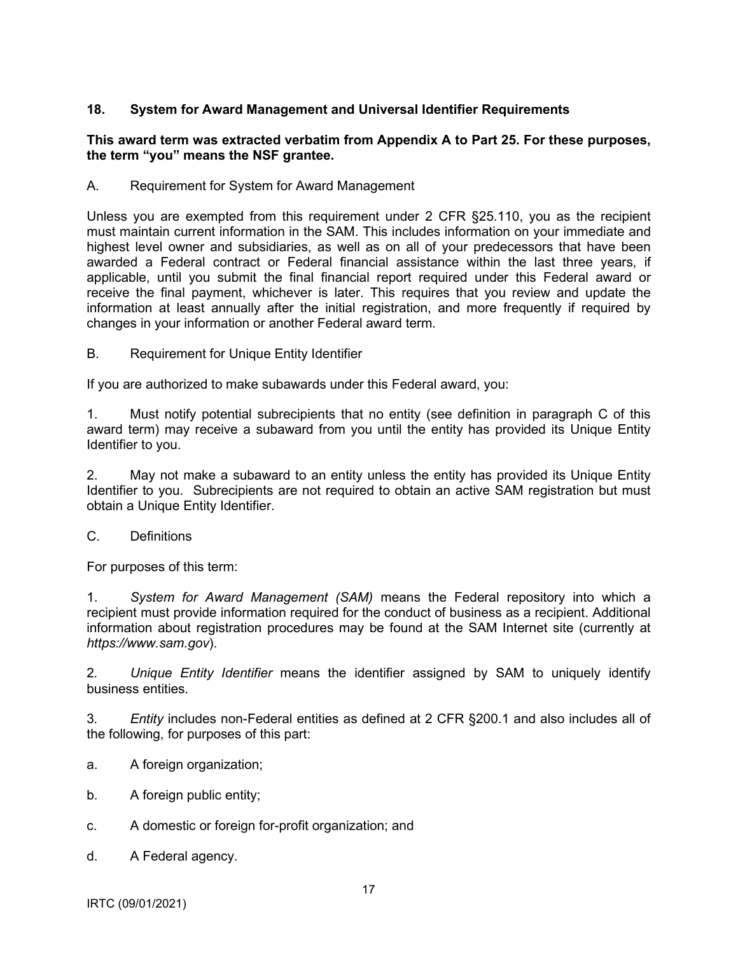## <span id="page-16-0"></span>**18. System for Award Management and Universal Identifier Requirements**

### **This award term was extracted verbatim from Appendix A to Part 25. For these purposes, the term "you" means the NSF grantee.**

A. Requirement for System for Award Management

Unless you are exempted from this requirement under 2 CFR §25.110, you as the recipient must maintain current information in the SAM. This includes information on your immediate and highest level owner and subsidiaries, as well as on all of your predecessors that have been awarded a Federal contract or Federal financial assistance within the last three years, if applicable, until you submit the final financial report required under this Federal award or receive the final payment, whichever is later. This requires that you review and update the information at least annually after the initial registration, and more frequently if required by changes in your information or another Federal award term.

B. Requirement for Unique Entity Identifier

If you are authorized to make subawards under this Federal award, you:

1. Must notify potential subrecipients that no entity (see definition in paragraph C of this award term) may receive a subaward from you until the entity has provided its Unique Entity Identifier to you.

2. May not make a subaward to an entity unless the entity has provided its Unique Entity Identifier to you. Subrecipients are not required to obtain an active SAM registration but must obtain a Unique Entity Identifier.

C. Definitions

For purposes of this term:

1. *System for Award Management (SAM)* means the Federal repository into which a recipient must provide information required for the conduct of business as a recipient. Additional information about registration procedures may be found at the SAM Internet site (currently at *https://www.sam.gov*).

2*. Unique Entity Identifier* means the identifier assigned by SAM to uniquely identify business entities.

3*. Entity* includes non-Federal entities as defined at 2 CFR §200.1 and also includes all of the following, for purposes of this part:

- a. A foreign organization;
- b. A foreign public entity;
- c. A domestic or foreign for-profit organization; and
- d. A Federal agency.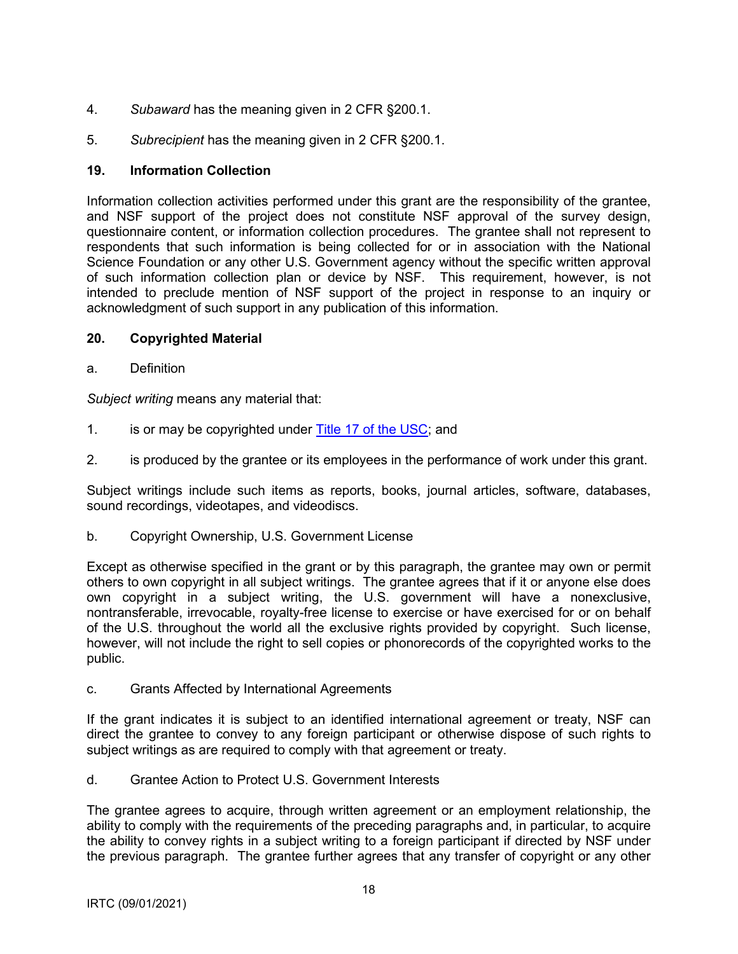- <span id="page-17-0"></span>4. *Subaward* has the meaning given in 2 CFR §200.1.
- 5. *Subrecipient* has the meaning given in 2 CFR §200.1.

## **19. Information Collection**

Information collection activities performed under this grant are the responsibility of the grantee, and NSF support of the project does not constitute NSF approval of the survey design, questionnaire content, or information collection procedures. The grantee shall not represent to respondents that such information is being collected for or in association with the National Science Foundation or any other U.S. Government agency without the specific written approval of such information collection plan or device by NSF. This requirement, however, is not intended to preclude mention of NSF support of the project in response to an inquiry or acknowledgment of such support in any publication of this information.

### **20. Copyrighted Material**

a. Definition

*Subject writing* means any material that:

- 1. is or may be copyrighted under [Title 17 of the USC;](http://www.copyright.gov/title17/) and
- 2. is produced by the grantee or its employees in the performance of work under this grant.

Subject writings include such items as reports, books, journal articles, software, databases, sound recordings, videotapes, and videodiscs.

b. Copyright Ownership, U.S. Government License

Except as otherwise specified in the grant or by this paragraph, the grantee may own or permit others to own copyright in all subject writings. The grantee agrees that if it or anyone else does own copyright in a subject writing, the U.S. government will have a nonexclusive, nontransferable, irrevocable, royalty-free license to exercise or have exercised for or on behalf of the U.S. throughout the world all the exclusive rights provided by copyright. Such license, however, will not include the right to sell copies or phonorecords of the copyrighted works to the public.

c. Grants Affected by International Agreements

If the grant indicates it is subject to an identified international agreement or treaty, NSF can direct the grantee to convey to any foreign participant or otherwise dispose of such rights to subject writings as are required to comply with that agreement or treaty.

d. Grantee Action to Protect U.S. Government Interests

The grantee agrees to acquire, through written agreement or an employment relationship, the ability to comply with the requirements of the preceding paragraphs and, in particular, to acquire the ability to convey rights in a subject writing to a foreign participant if directed by NSF under the previous paragraph. The grantee further agrees that any transfer of copyright or any other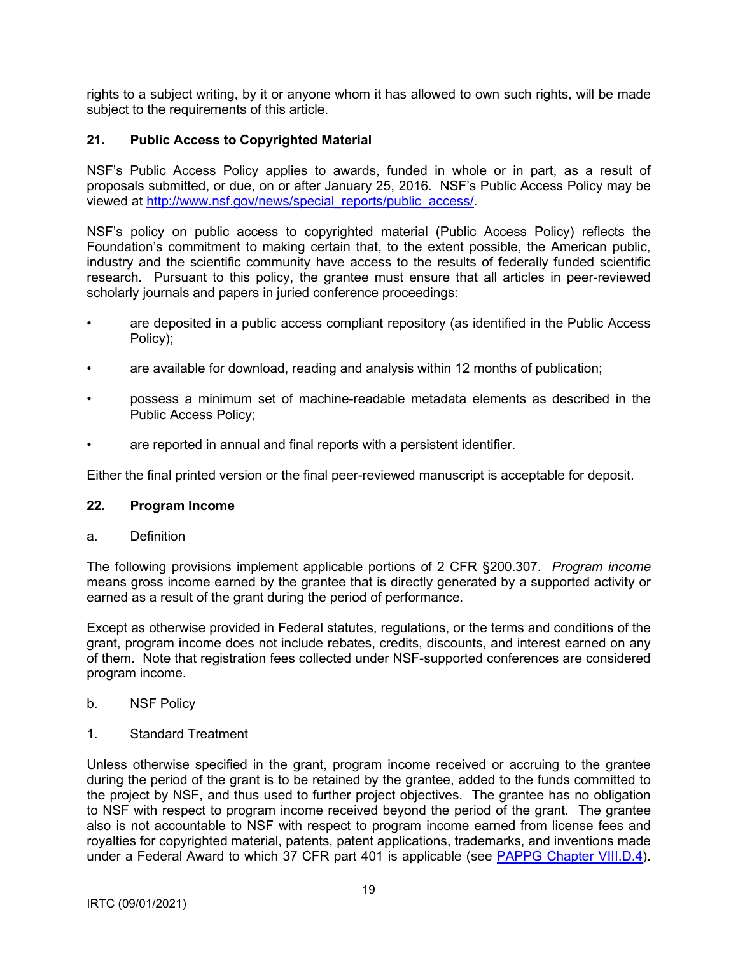<span id="page-18-0"></span>rights to a subject writing, by it or anyone whom it has allowed to own such rights, will be made subject to the requirements of this article.

## **21. Public Access to Copyrighted Material**

NSF's Public Access Policy applies to awards, funded in whole or in part, as a result of proposals submitted, or due, on or after January 25, 2016. NSF's Public Access Policy may be viewed at [http://www.nsf.gov/news/special\\_reports/public\\_access/.](http://www.nsf.gov/news/special_reports/public_access/)

NSF's policy on public access to copyrighted material (Public Access Policy) reflects the Foundation's commitment to making certain that, to the extent possible, the American public, industry and the scientific community have access to the results of federally funded scientific research. Pursuant to this policy, the grantee must ensure that all articles in peer-reviewed scholarly journals and papers in juried conference proceedings:

- are deposited in a public access compliant repository (as identified in the Public Access Policy);
- are available for download, reading and analysis within 12 months of publication;
- possess a minimum set of machine-readable metadata elements as described in the Public Access Policy;
- are reported in annual and final reports with a persistent identifier.

Either the final printed version or the final peer-reviewed manuscript is acceptable for deposit.

#### **22. Program Income**

a. Definition

The following provisions implement applicable portions of 2 CFR §200.307. *Program income* means gross income earned by the grantee that is directly generated by a supported activity or earned as a result of the grant during the period of performance.

Except as otherwise provided in Federal statutes, regulations, or the terms and conditions of the grant, program income does not include rebates, credits, discounts, and interest earned on any of them. Note that registration fees collected under NSF-supported conferences are considered program income.

- b. NSF Policy
- 1. Standard Treatment

Unless otherwise specified in the grant, program income received or accruing to the grantee during the period of the grant is to be retained by the grantee, added to the funds committed to the project by NSF, and thus used to further project objectives. The grantee has no obligation to NSF with respect to program income received beyond the period of the grant. The grantee also is not accountable to NSF with respect to program income earned from license fees and royalties for copyrighted material, patents, patent applications, trademarks, and inventions made under a Federal Award to which 37 CFR part 401 is applicable (see [PAPPG Chapter VIII.D.4\).](https://www.nsf.gov/pubs/policydocs/pappg20_1/pappg_8.jsp#VIIID4)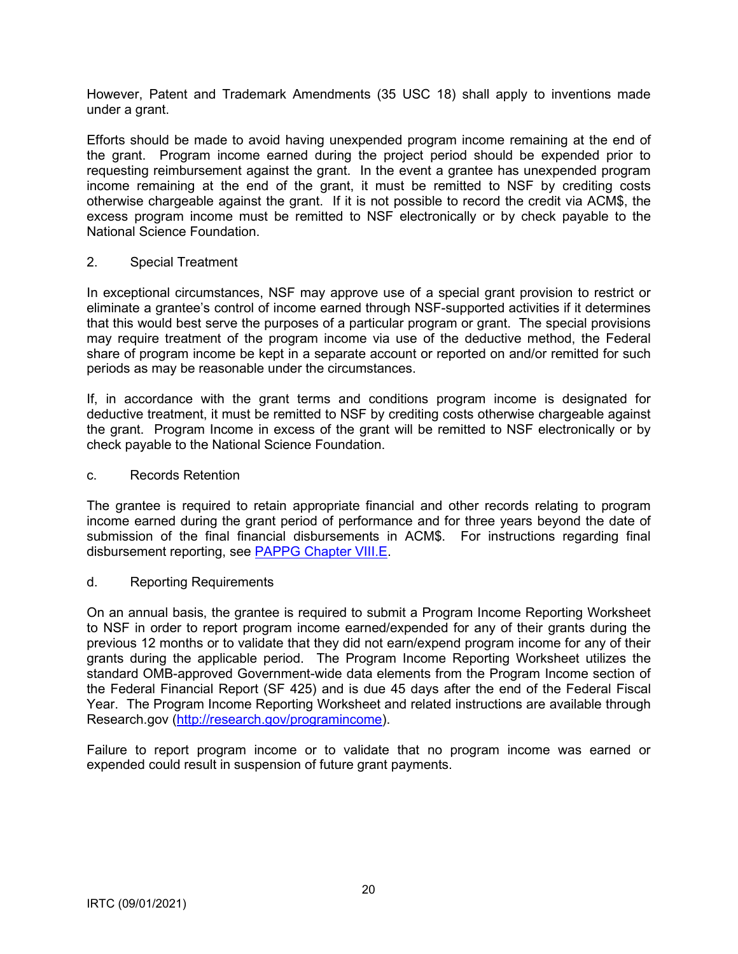However, Patent and Trademark Amendments (35 USC 18) shall apply to inventions made under a grant.

Efforts should be made to avoid having unexpended program income remaining at the end of the grant. Program income earned during the project period should be expended prior to requesting reimbursement against the grant. In the event a grantee has unexpended program income remaining at the end of the grant, it must be remitted to NSF by crediting costs otherwise chargeable against the grant. If it is not possible to record the credit via ACM\$, the excess program income must be remitted to NSF electronically or by check payable to the National Science Foundation.

### 2. Special Treatment

In exceptional circumstances, NSF may approve use of a special grant provision to restrict or eliminate a grantee's control of income earned through NSF-supported activities if it determines that this would best serve the purposes of a particular program or grant. The special provisions may require treatment of the program income via use of the deductive method, the Federal share of program income be kept in a separate account or reported on and/or remitted for such periods as may be reasonable under the circumstances.

If, in accordance with the grant terms and conditions program income is designated for deductive treatment, it must be remitted to NSF by crediting costs otherwise chargeable against the grant. Program Income in excess of the grant will be remitted to NSF electronically or by check payable to the National Science Foundation.

### c. Records Retention

The grantee is required to retain appropriate financial and other records relating to program income earned during the grant period of performance and for three years beyond the date of submission of the final financial disbursements in ACM\$. For instructions regarding final disbursement reporting, see [PAPPG Chapter VIII.E.](https://www.nsf.gov/pubs/policydocs/pappg20_1/pappg_8.jsp#VIIIE)

### d. Reporting Requirements

On an annual basis, the grantee is required to submit a Program Income Reporting Worksheet to NSF in order to report program income earned/expended for any of their grants during the previous 12 months or to validate that they did not earn/expend program income for any of their grants during the applicable period. The Program Income Reporting Worksheet utilizes the standard OMB-approved Government-wide data elements from the Program Income section of the Federal Financial Report (SF 425) and is due 45 days after the end of the Federal Fiscal Year. The Program Income Reporting Worksheet and related instructions are available through Research.gov [\(http://research.gov/programincome\).](http://research.gov/programincome)

Failure to report program income or to validate that no program income was earned or expended could result in suspension of future grant payments.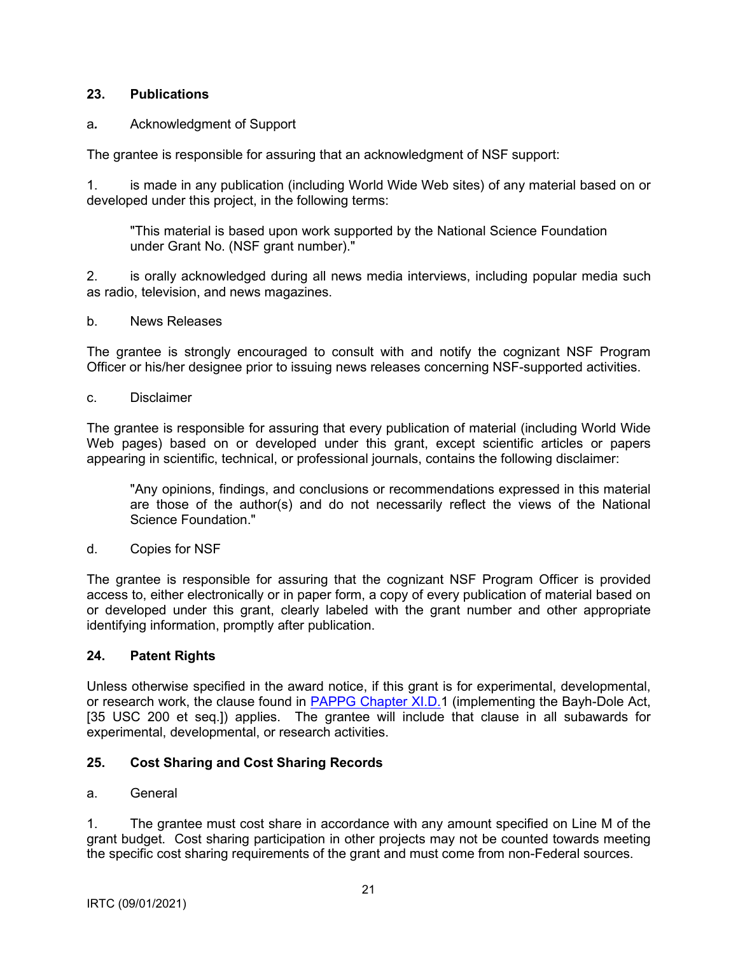## <span id="page-20-0"></span>**23. Publications**

## a*.* Acknowledgment of Support

The grantee is responsible for assuring that an acknowledgment of NSF support:

1. is made in any publication (including World Wide Web sites) of any material based on or developed under this project, in the following terms:

"This material is based upon work supported by the National Science Foundation under Grant No. (NSF grant number)."

2. is orally acknowledged during all news media interviews, including popular media such as radio, television, and news magazines.

b. News Releases

The grantee is strongly encouraged to consult with and notify the cognizant NSF Program Officer or his/her designee prior to issuing news releases concerning NSF-supported activities.

c. Disclaimer

The grantee is responsible for assuring that every publication of material (including World Wide Web pages) based on or developed under this grant, except scientific articles or papers appearing in scientific, technical, or professional journals, contains the following disclaimer:

"Any opinions, findings, and conclusions or recommendations expressed in this material are those of the author(s) and do not necessarily reflect the views of the National Science Foundation."

d. Copies for NSF

The grantee is responsible for assuring that the cognizant NSF Program Officer is provided access to, either electronically or in paper form, a copy of every publication of material based on or developed under this grant, clearly labeled with the grant number and other appropriate identifying information, promptly after publication.

## **24. Patent Rights**

Unless otherwise specified in the award notice, if this grant is for experimental, developmental, or research work, the clause found in [PAPPG Chapter XI.D.1](https://www.nsf.gov/pubs/policydocs/pappg20_1/pappg_11.jsp#XID1) (implementing the Bayh-Dole Act, [35 USC 200 et seq.]) applies. The grantee will include that clause in all subawards for experimental, developmental, or research activities.

## **25. Cost Sharing and Cost Sharing Records**

### a. General

1. The grantee must cost share in accordance with any amount specified on Line M of the grant budget. Cost sharing participation in other projects may not be counted towards meeting the specific cost sharing requirements of the grant and must come from non-Federal sources.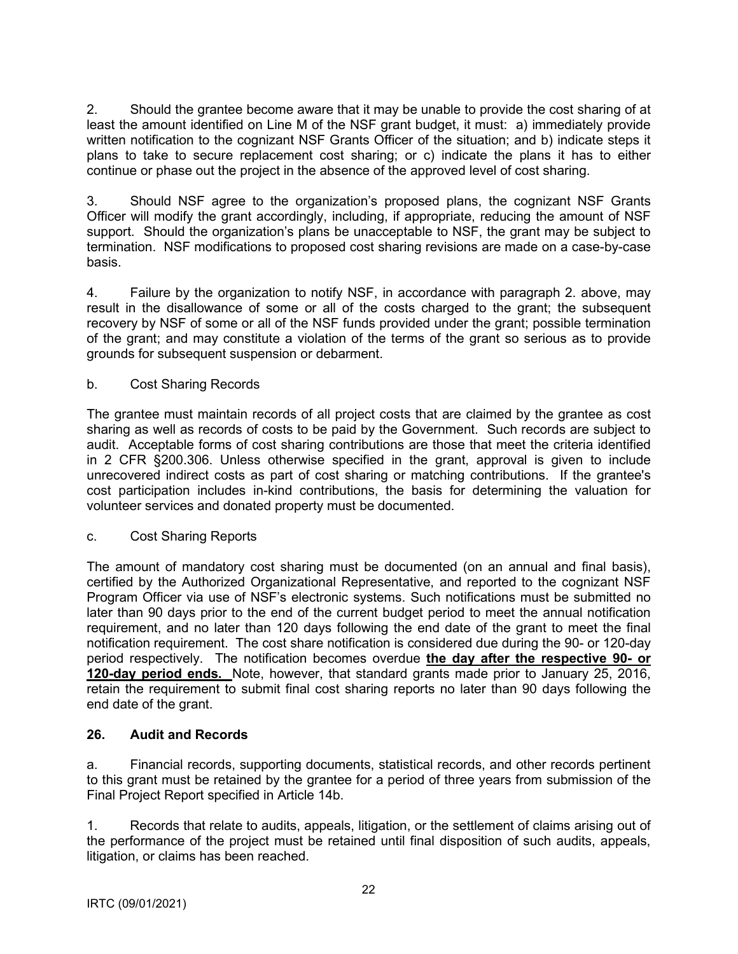<span id="page-21-0"></span>2. Should the grantee become aware that it may be unable to provide the cost sharing of at least the amount identified on Line M of the NSF grant budget, it must: a) immediately provide written notification to the cognizant NSF Grants Officer of the situation; and b) indicate steps it plans to take to secure replacement cost sharing; or c) indicate the plans it has to either continue or phase out the project in the absence of the approved level of cost sharing.

3. Should NSF agree to the organization's proposed plans, the cognizant NSF Grants Officer will modify the grant accordingly, including, if appropriate, reducing the amount of NSF support. Should the organization's plans be unacceptable to NSF, the grant may be subject to termination. NSF modifications to proposed cost sharing revisions are made on a case-by-case basis.

4. Failure by the organization to notify NSF, in accordance with paragraph 2. above, may result in the disallowance of some or all of the costs charged to the grant; the subsequent recovery by NSF of some or all of the NSF funds provided under the grant; possible termination of the grant; and may constitute a violation of the terms of the grant so serious as to provide grounds for subsequent suspension or debarment.

## b. Cost Sharing Records

The grantee must maintain records of all project costs that are claimed by the grantee as cost sharing as well as records of costs to be paid by the Government. Such records are subject to audit. Acceptable forms of cost sharing contributions are those that meet the criteria identified in 2 CFR §200.306. Unless otherwise specified in the grant, approval is given to include unrecovered indirect costs as part of cost sharing or matching contributions. If the grantee's cost participation includes in-kind contributions, the basis for determining the valuation for volunteer services and donated property must be documented.

### c. Cost Sharing Reports

The amount of mandatory cost sharing must be documented (on an annual and final basis), certified by the Authorized Organizational Representative, and reported to the cognizant NSF Program Officer via use of NSF's electronic systems. Such notifications must be submitted no later than 90 days prior to the end of the current budget period to meet the annual notification requirement, and no later than 120 days following the end date of the grant to meet the final notification requirement. The cost share notification is considered due during the 90- or 120-day period respectively. The notification becomes overdue **the day after the respective 90- or 120-day period ends.** Note, however, that standard grants made prior to January 25, 2016, retain the requirement to submit final cost sharing reports no later than 90 days following the end date of the grant.

## **26. Audit and Records**

a. Financial records, supporting documents, statistical records, and other records pertinent to this grant must be retained by the grantee for a period of three years from submission of the Final Project Report specified in Article 14b.

1. Records that relate to audits, appeals, litigation, or the settlement of claims arising out of the performance of the project must be retained until final disposition of such audits, appeals, litigation, or claims has been reached.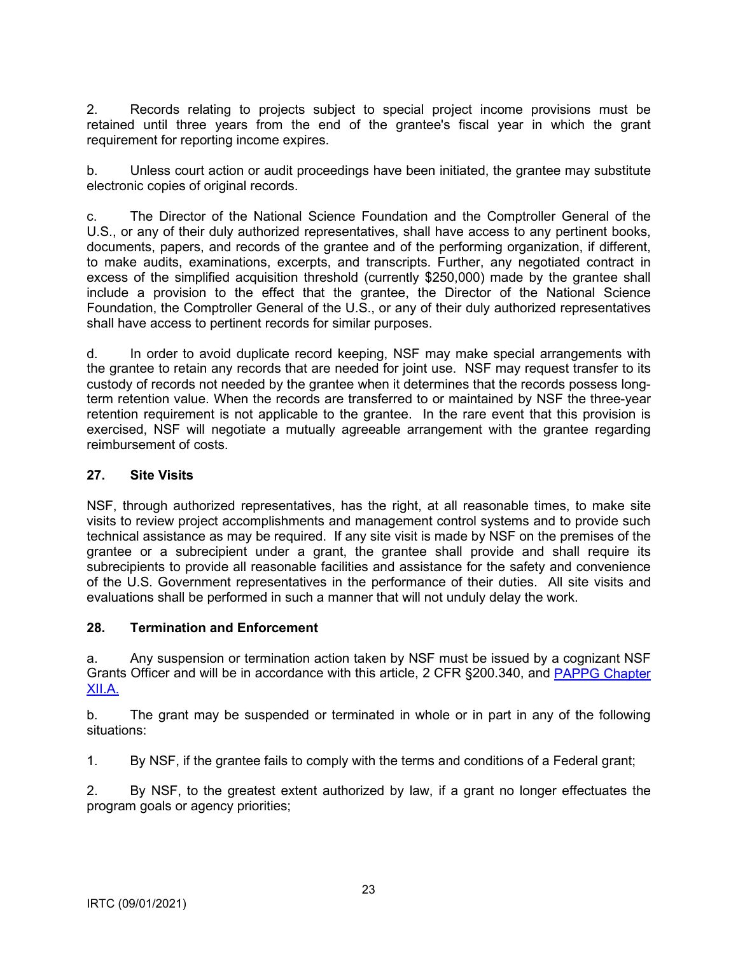<span id="page-22-0"></span>2. Records relating to projects subject to special project income provisions must be retained until three years from the end of the grantee's fiscal year in which the grant requirement for reporting income expires.

b. Unless court action or audit proceedings have been initiated, the grantee may substitute electronic copies of original records.

c. The Director of the National Science Foundation and the Comptroller General of the U.S., or any of their duly authorized representatives, shall have access to any pertinent books, documents, papers, and records of the grantee and of the performing organization, if different, to make audits, examinations, excerpts, and transcripts. Further, any negotiated contract in excess of the simplified acquisition threshold (currently \$250,000) made by the grantee shall include a provision to the effect that the grantee, the Director of the National Science Foundation, the Comptroller General of the U.S., or any of their duly authorized representatives shall have access to pertinent records for similar purposes.

d. In order to avoid duplicate record keeping, NSF may make special arrangements with the grantee to retain any records that are needed for joint use. NSF may request transfer to its custody of records not needed by the grantee when it determines that the records possess longterm retention value. When the records are transferred to or maintained by NSF the three-year retention requirement is not applicable to the grantee. In the rare event that this provision is exercised, NSF will negotiate a mutually agreeable arrangement with the grantee regarding reimbursement of costs.

### **27. Site Visits**

NSF, through authorized representatives, has the right, at all reasonable times, to make site visits to review project accomplishments and management control systems and to provide such technical assistance as may be required. If any site visit is made by NSF on the premises of the grantee or a subrecipient under a grant, the grantee shall provide and shall require its subrecipients to provide all reasonable facilities and assistance for the safety and convenience of the U.S. Government representatives in the performance of their duties. All site visits and evaluations shall be performed in such a manner that will not unduly delay the work.

#### **28. Termination and Enforcement**

a. Any suspension or termination action taken by NSF must be issued by a cognizant NSF Grants Officer and will be in accordance with this article, 2 CFR §200.340, and [PAPPG Chapter](https://www.nsf.gov/pubs/policydocs/pappg20_1/pappg_12.jsp#XIIA)  [XII.A.](https://www.nsf.gov/pubs/policydocs/pappg20_1/pappg_12.jsp#XIIA)

b. The grant may be suspended or terminated in whole or in part in any of the following situations:

1. By NSF, if the grantee fails to comply with the terms and conditions of a Federal grant;

2. By NSF, to the greatest extent authorized by law, if a grant no longer effectuates the program goals or agency priorities;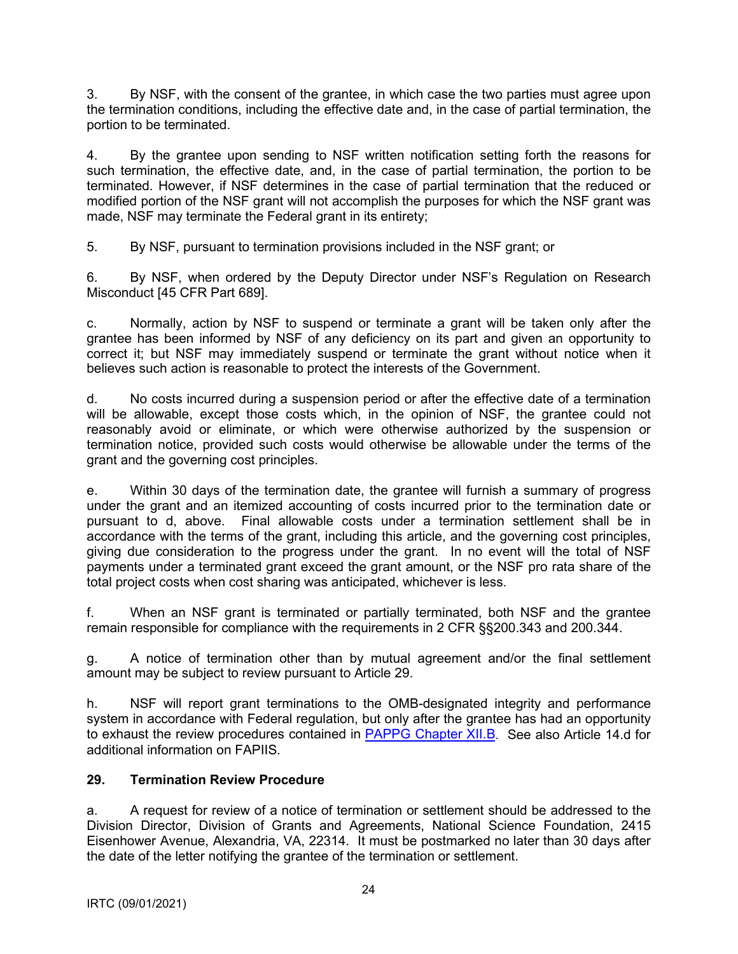<span id="page-23-0"></span>3. By NSF, with the consent of the grantee, in which case the two parties must agree upon the termination conditions, including the effective date and, in the case of partial termination, the portion to be terminated.

4. By the grantee upon sending to NSF written notification setting forth the reasons for such termination, the effective date, and, in the case of partial termination, the portion to be terminated. However, if NSF determines in the case of partial termination that the reduced or modified portion of the NSF grant will not accomplish the purposes for which the NSF grant was made, NSF may terminate the Federal grant in its entirety;

5. By NSF, pursuant to termination provisions included in the NSF grant; or

6. By NSF, when ordered by the Deputy Director under NSF's Regulation on Research Misconduct [45 CFR Part 689].

c. Normally, action by NSF to suspend or terminate a grant will be taken only after the grantee has been informed by NSF of any deficiency on its part and given an opportunity to correct it; but NSF may immediately suspend or terminate the grant without notice when it believes such action is reasonable to protect the interests of the Government.

d. No costs incurred during a suspension period or after the effective date of a termination will be allowable, except those costs which, in the opinion of NSF, the grantee could not reasonably avoid or eliminate, or which were otherwise authorized by the suspension or termination notice, provided such costs would otherwise be allowable under the terms of the grant and the governing cost principles.

e. Within 30 days of the termination date, the grantee will furnish a summary of progress under the grant and an itemized accounting of costs incurred prior to the termination date or pursuant to d, above. Final allowable costs under a termination settlement shall be in accordance with the terms of the grant, including this article, and the governing cost principles, giving due consideration to the progress under the grant. In no event will the total of NSF payments under a terminated grant exceed the grant amount, or the NSF pro rata share of the total project costs when cost sharing was anticipated, whichever is less.

f. When an NSF grant is terminated or partially terminated, both NSF and the grantee remain responsible for compliance with the requirements in 2 CFR §§200.343 and 200.344.

g. A notice of termination other than by mutual agreement and/or the final settlement amount may be subject to review pursuant to Article 29.

h. NSF will report grant terminations to the OMB-designated integrity and performance system in accordance with Federal regulation, but only after the grantee has had an opportunity to exhaust the review procedures contained in [PAPPG Chapter XII.B.](https://www.nsf.gov/pubs/policydocs/pappg20_1/pappg_12.jsp#XIIB) See also Article 14.d for additional information on FAPIIS.

## **29. Termination Review Procedure**

a. A request for review of a notice of termination or settlement should be addressed to the Division Director, Division of Grants and Agreements, National Science Foundation, 2415 Eisenhower Avenue, Alexandria, VA, 22314. It must be postmarked no later than 30 days after the date of the letter notifying the grantee of the termination or settlement.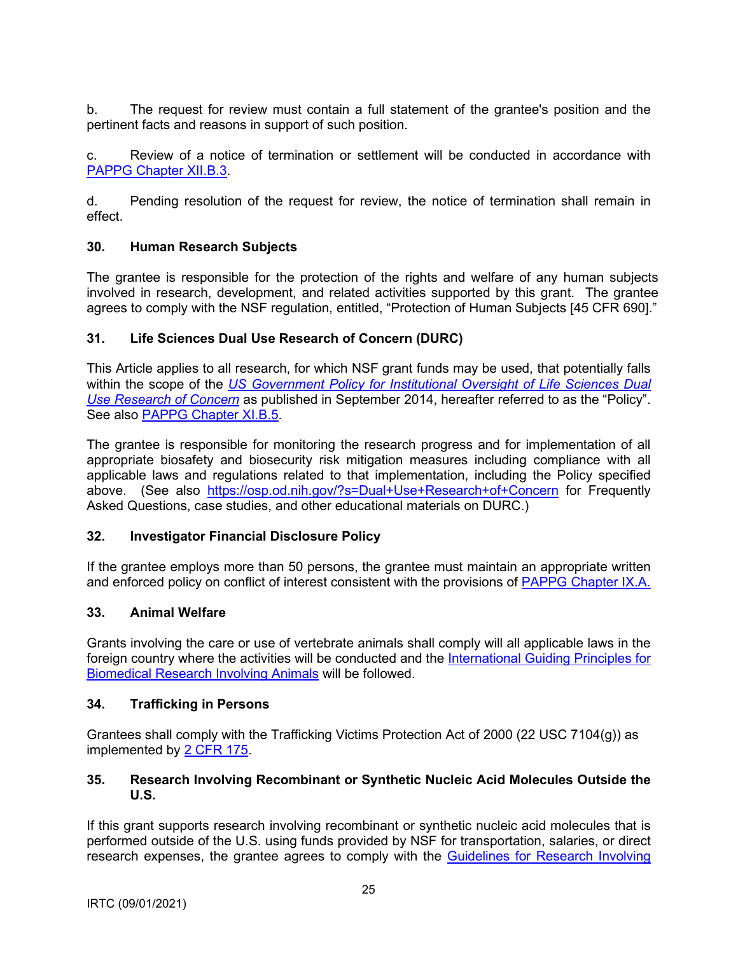<span id="page-24-0"></span>b. The request for review must contain a full statement of the grantee's position and the pertinent facts and reasons in support of such position.

c. Review of a notice of termination or settlement will be conducted in accordance with [PAPPG Chapter XII.B.3](https://www.nsf.gov/pubs/policydocs/pappg20_1/pappg_12.jsp#XIIB).

d. Pending resolution of the request for review, the notice of termination shall remain in effect.

### **30. Human Research Subjects**

The grantee is responsible for the protection of the rights and welfare of any human subjects involved in research, development, and related activities supported by this grant. The grantee agrees to comply with the NSF regulation, entitled, "Protection of Human Subjects [45 CFR 690]."

### **31. Life Sciences Dual Use Research of Concern (DURC)**

This Article applies to all research, for which NSF grant funds may be used, that potentially falls within the scope of the *[US Government Policy for Institutional](http://www.phe.gov/s3/dualuse/Pages/default.aspx) Oversight of Life Sciences Dual [Use Research of Concern](http://www.phe.gov/s3/dualuse/Pages/default.aspx)* as published in September 2014, hereafter referred to as the "Policy". See also [PAPPG Chapter XI.B.5](https://www.nsf.gov/pubs/policydocs/pappg20_1/pappg_11.jsp#XIB5).

The grantee is responsible for monitoring the research progress and for implementation of all appropriate biosafety and biosecurity risk mitigation measures including compliance with all applicable laws and regulations related to that implementation, including the Policy specified above. (See also <https://osp.od.nih.gov/?s=Dual+Use+Research+of+Concern> for Frequently Asked Questions, case studies, and other educational materials on DURC.)

## **32. Investigator Financial Disclosure Policy**

If the grantee employs more than 50 persons, the grantee must maintain an appropriate written and enforced policy on conflict of interest consistent with the provisions of PAPPG [Chapter IX.A.](https://nsf.gov/pubs/policydocs/pappg20_1/pappg_9.jsp#IXA)

#### **33. Animal Welfare**

Grants involving the care or use of vertebrate animals shall comply will all applicable laws in the foreign country where the activities will be conducted and the [International Guiding Principles for](http://grants.nih.gov/grants/olaw/Guiding_Principles_2012.pdf)  [Biomedical Research Involving Animals](http://grants.nih.gov/grants/olaw/Guiding_Principles_2012.pdf) will be followed.

#### **34. Trafficking in Persons**

Grantees shall comply with the Trafficking Victims Protection Act of 2000 (22 USC 7104(g)) as implemented by [2 CFR](http://www.ecfr.gov/cgi-bin/text-idx?tpl=/ecfrbrowse/Title02/2cfr175_main_02.tpl) 175.

### **35. Research Involving Recombinant or Synthetic Nucleic Acid Molecules Outside the U.S.**

If this grant supports research involving recombinant or synthetic nucleic acid molecules that is performed outside of the U.S. using funds provided by NSF for transportation, salaries, or direct research expenses, the grantee agrees to comply with the [Guidelines for Research Involving](http://osp.od.nih.gov/office-biotechnology-activities/biosafety/nih-guidelines)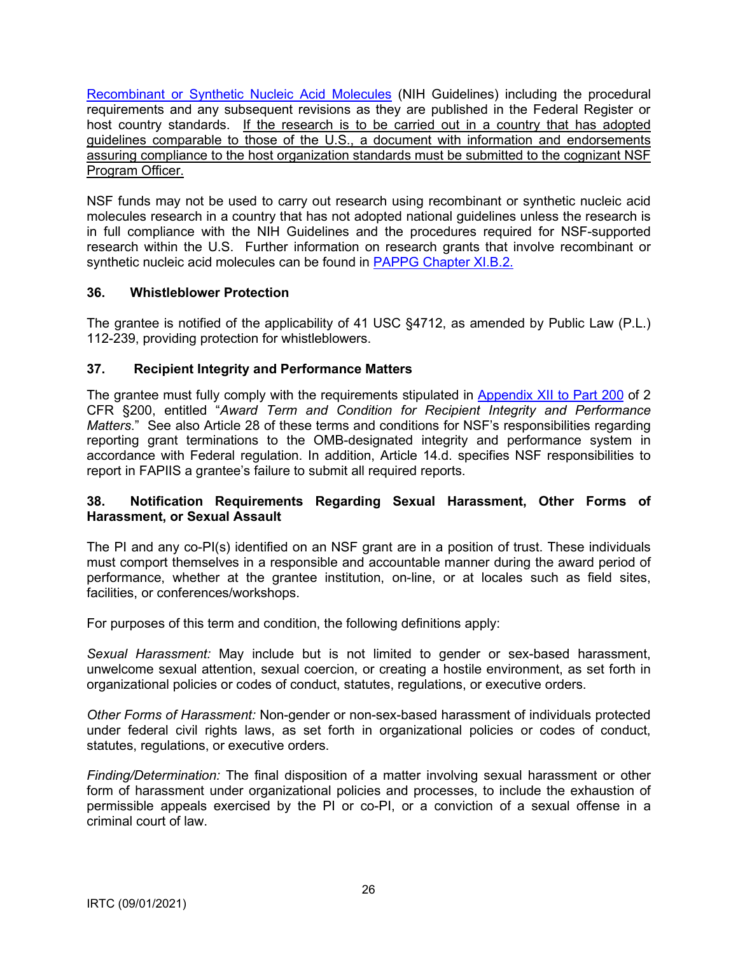<span id="page-25-0"></span>[Recombinant or Synthetic Nucleic](http://osp.od.nih.gov/office-biotechnology-activities/biosafety/nih-guidelines) Acid Molecules (NIH Guidelines) including the procedural requirements and any subsequent revisions as they are published in the Federal Register or host country standards. If the research is to be carried out in a country that has adopted guidelines comparable to those of the U.S., a document with information and endorsements assuring compliance to the host organization standards must be submitted to the cognizant NSF Program Officer.

NSF funds may not be used to carry out research using recombinant or synthetic nucleic acid molecules research in a country that has not adopted national guidelines unless the research is in full compliance with the NIH Guidelines and the procedures required for NSF-supported research within the U.S. Further information on research grants that involve recombinant or synthetic nucleic acid molecules can be found in [PAPPG Chapter XI.B.2.](https://www.nsf.gov/pubs/policydocs/pappg20_1/pappg_11.jsp#VIB2)

## **36. Whistleblower Protection**

The grantee is notified of the applicability of 41 USC §4712, as amended by Public Law (P.L.) 112-239, providing protection for whistleblowers.

## **37. Recipient Integrity and Performance Matters**

The grantee must fully comply with the requirements stipulated in [Appendix XII to Part 200](http://www.ecfr.gov/cgi-bin/text-idx?SID=704835d27377ef5213a51c149de40cab&node=2:1.1.2.2.1&rgn=div5) of 2 CFR §200, entitled "*Award Term and Condition for Recipient Integrity and Performance Matters*." See also Article 28 of these terms and conditions for NSF's responsibilities regarding reporting grant terminations to the OMB-designated integrity and performance system in accordance with Federal regulation. In addition, Article 14.d. specifies NSF responsibilities to report in FAPIIS a grantee's failure to submit all required reports.

### **38. Notification Requirements Regarding Sexual Harassment, Other Forms of Harassment, or Sexual Assault**

The PI and any co-PI(s) identified on an NSF grant are in a position of trust. These individuals must comport themselves in a responsible [a](#page-25-1)nd accountable manner during the award period of performance, whether at the grantee institution, on-line, or at locales such as field sites, facilities, or conferences/workshops.

For purposes of this term and condition, the following definitions apply:

*Sexual Harassment:* May include but is not limited to gender or sex-based harassment, unwelcome sexual attention, sexual coercion, or creating a hostile environment, as set forth in organizational policies or codes of conduct, statutes, regulations, or executive orders.

*Other Forms of Harassment:* Non-gender or non-sex-based harassment of individuals protected under federal civil rights laws, as set forth in organizational policies or codes of conduct, statutes, regulations, or executive orders.

<span id="page-25-1"></span>*Finding/Determination:* The final disposition of a matter involving sexual harassment or other form of harassment under organizational policies and processes, to include the exhaustion of permissible appeals exercised by the PI or co-PI, or a conviction of a sexual offense in a criminal court of law.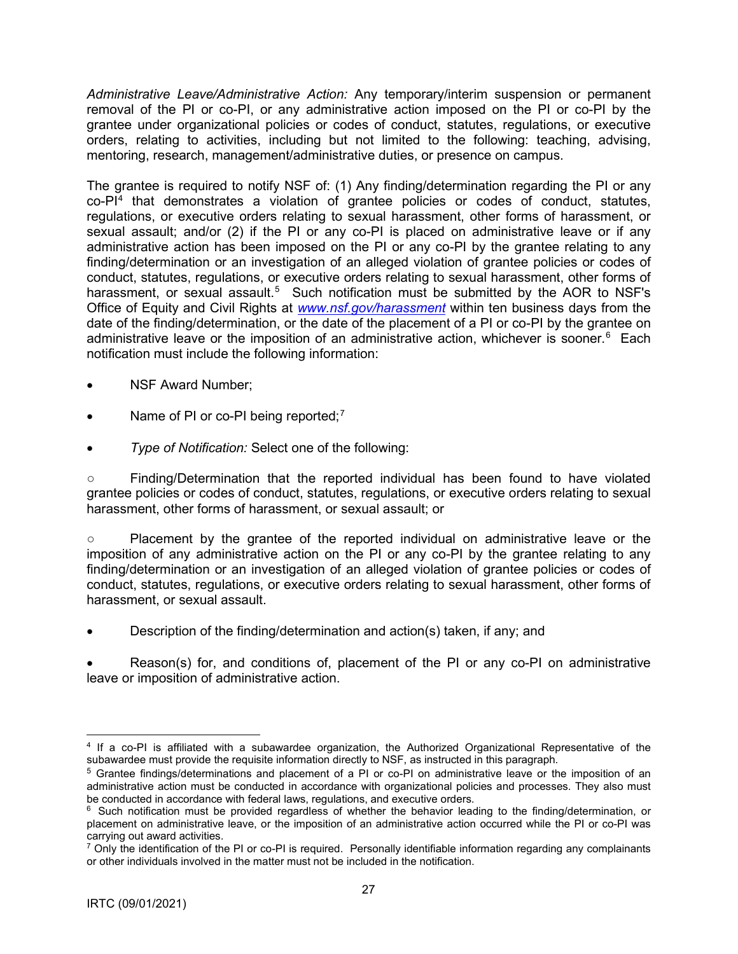*Administrative Leave/Administrative Action:* Any temporary/interim suspension or permanent removal of the PI or co-PI, or any administrative action imposed on the PI or co-PI by the grantee under organizational policies or codes of conduct, statutes, regulations, or executive orders, relating to activities, including but not limited to the following: teaching, advising, mentoring, research, management/administrative duties, or presence on campus.

The grantee is required to notify NSF of: (1) Any finding/determination regarding the PI or any  $co-PI<sup>4</sup>$  that demonstrates a violation of grantee policies or codes of conduct, statutes, regulations, or executive orders relating to sexual harassment, other forms of harassment, or sexual assault; and/or (2) if the PI or any co-PI is placed on administrative leave or if any administrative action has been imposed on the PI or any co-PI by the grantee relating to any finding/determination or an investigation of an alleged violation of grantee policies or codes of conduct, statutes, regulations, or executive orders relating to sexual harassment, other forms of harassment, or sexual assault.<sup>5</sup> Such notification must be submitted by the AOR to NSF's Office of Equity and Civil Rights at *[www.nsf.gov/harassment](http://www.nsf.gov/harassment)* within ten business days from the date of the finding/determination, or the date of the placement of a PI or co-PI by the grantee on administrative leave or the imposition of an administrative action, whichever is sooner.<sup>6</sup> Each notification must include the following information:

- NSF Award Number:
- Name of PI or co-PI being reported;<sup>7</sup>
- *Type of Notification:* Select one of the following:

○ Finding/Determination that the reported individual has been found to have violated grantee policies or codes of conduct, statutes, regulations, or executive orders relating to sexual harassment, other forms of harassment, or sexual assault; or

○ Placement by the grantee of the reported individual on administrative leave or the imposition of any administrative action on the PI or any co-PI by the grantee relating to any finding/determination or an investigation of an alleged violation of grantee policies or codes of conduct, statutes, regulations, or executive orders relating to sexual harassment, other forms of harassment, or sexual assault.

• Description of the finding/determination and action(s) taken, if any; and

• Reason(s) for, and conditions of, placement of the PI or any co-PI on administrative leave or imposition of administrative action.

<sup>4</sup> If a co-PI is affiliated with a subawardee organization, the Authorized Organizational Representative of the subawardee must provide the requisite information directly to NSF, as instructed in this paragraph.

<sup>5</sup> Grantee findings/determinations and placement of a PI or co-PI on administrative leave or the imposition of an administrative action must be conducted in accordance with organizational policies and processes. They also must be conducted in accordance with federal laws, regulations, and executive orders.

<sup>&</sup>lt;sup>6</sup> Such notification must be provided regardless of whether the behavior leading to the finding/determination, or placement on administrative leave, or the imposition of an administrative action occurred while the PI or co-PI was carrying out award activities.

 $7$  Only the identification of the PI or co-PI is required. Personally identifiable information regarding any complainants or other individuals involved in the matter must not be included in the notification.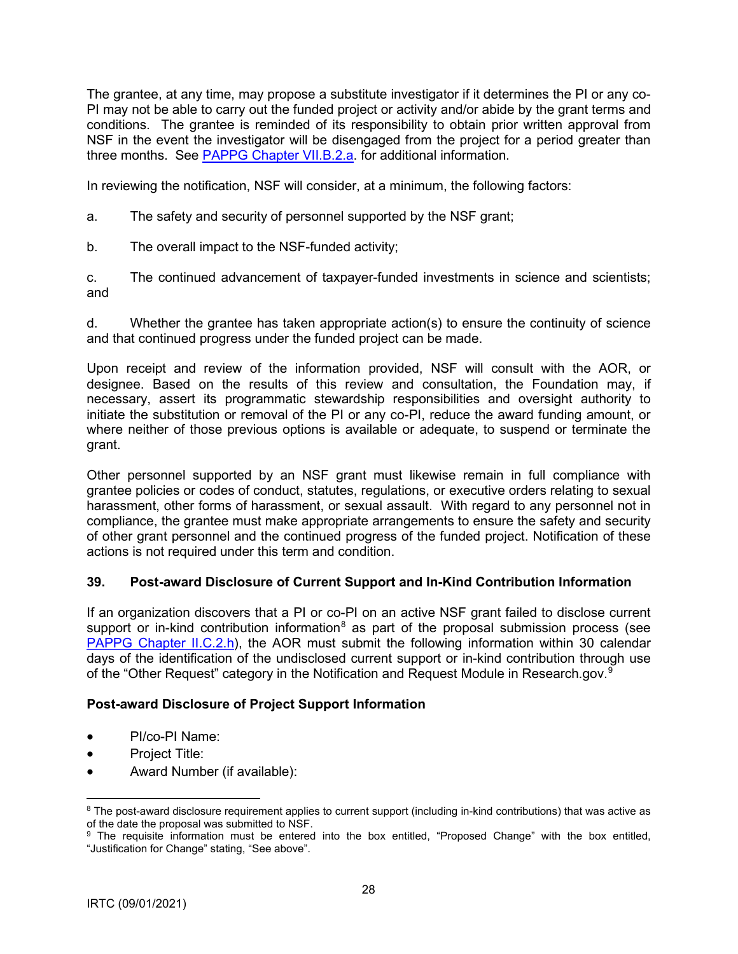<span id="page-27-0"></span>The grantee, at any time, may propose a substitute investigator if it determines the PI or any co-PI may not be able to carry out the funded project or activity and/or abide by the grant ter[m](#page-27-1)s and conditions. The grantee is reminded of its responsibility to obtain prior written approval from NSF in the event the investigator will be disengaged from the project for a period greater than three months. See [PAPPG Chapter VII.B.2.a.](https://nsf.gov/pubs/policydocs/pappg20_1/pappg_7.jsp#VIIB2a) for additional information.

In reviewing the notification, NSF will consider, at a minimum, the following factors:

- a. The safety and security of personnel supported by the NSF grant;
- b. The overall impact to the NSF-funded activity;

c. The continued advancement of taxpayer-funded investments in science and scientists; and

d. Whether the grantee has taken appropriate action(s) to ensure the continuity of science and that continued progress under the funded project can be made.

Upon receipt and review of the information provided, NSF will consult with the AOR, or designee. Based on the results of this review and consultation, the Foundation may, if necessary, assert its programmatic stewardship responsibilities and oversight authority to initiate the substitution or removal of the PI or any co-PI, reduce the award funding amount, or where neither of those previous options is available or adequate, to suspend or terminate the grant.

Other personnel supported by an NSF grant must likewise remain in full compliance with grantee policies or codes of conduct, statutes, regulations, or executive orders relating to sexual harassment, other forms of harassment, or sexual assault. With regard to any personnel not in compliance, the grantee must make appropriate arrangements to ensure the safety and security of other grant personnel and the continued progress of the funded project. Notification of these actions is not required under this term and condition.

### **39. Post-award Disclosure of Current Support and In-Kind Contribution Information**

If an organization discovers that a PI or co-PI on an active NSF grant failed to disclose current support or in-kind contribution information<sup>8</sup> as part of the proposal submission process (see [PAPPG Chapter II.C.2.h\)](https://nsf.gov/pubs/policydocs/pappg20_1/pappg_2.jsp#IIC2h), the AOR must submit the following information within 30 calendar days of the identification of the undisclosed current support or in-kind contribution through use of the "Other Request" category in the Notification and Request Module in Research.gov. $^9$ 

## **Post-award Disclosure of Project Support Information**

- PI/co-PI Name:
- Project Title:
- Award Number (if available):

 $8$  The post-award disclosure requirement applies to current support (including in-kind contributions) that was active as of the date the proposal was submitted to NSF.

<span id="page-27-1"></span><sup>&</sup>lt;sup>9</sup> The requisite information must be entered into the box entitled, "Proposed Change" with the box entitled, "Justification for Change" stating, "See above".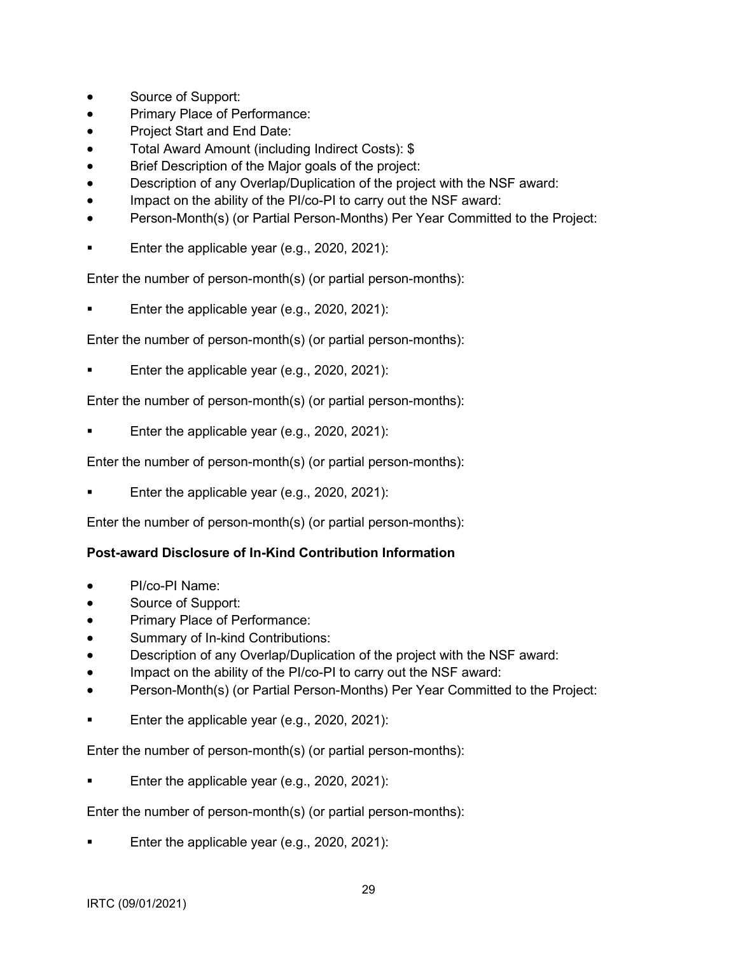- Source of Support:
- Primary Place of Performance:
- Project Start and End Date:
- Total Award Amount (including Indirect Costs): \$
- Brief Description of the Major goals of the project:
- Description of any Overlap/Duplication of the project with the NSF award:
- Impact on the ability of the PI/co-PI to carry out the NSF award:
- Person-Month(s) (or Partial Person-Months) Per Year Committed to the Project:
- Enter the applicable year (e.g., 2020, 2021):

Enter the number of person-month(s) (or partial person-months):

Enter the applicable year (e.g., 2020, 2021):

Enter the number of person-month(s) (or partial person-months):

Enter the applicable year (e.g., 2020, 2021):

Enter the number of person-month(s) (or partial person-months):

Enter the applicable year (e.g., 2020, 2021):

Enter the number of person-month(s) (or partial person-months):

Enter the applicable year (e.g., 2020, 2021):

Enter the number of person-month(s) (or partial person-months):

## **Post-award Disclosure of In-Kind Contribution Information**

- PI/co-PI Name:
- Source of Support:
- Primary Place of Performance:
- Summary of In-kind Contributions:
- Description of any Overlap/Duplication of the project with the NSF award:
- Impact on the ability of the PI/co-PI to carry out the NSF award:
- Person-Month(s) (or Partial Person-Months) Per Year Committed to the Project:
- Enter the applicable year (e.g., 2020, 2021):

Enter the number of person-month(s) (or partial person-months):

Enter the applicable year (e.g., 2020, 2021):

Enter the number of person-month(s) (or partial person-months):

Enter the applicable year (e.g., 2020, 2021):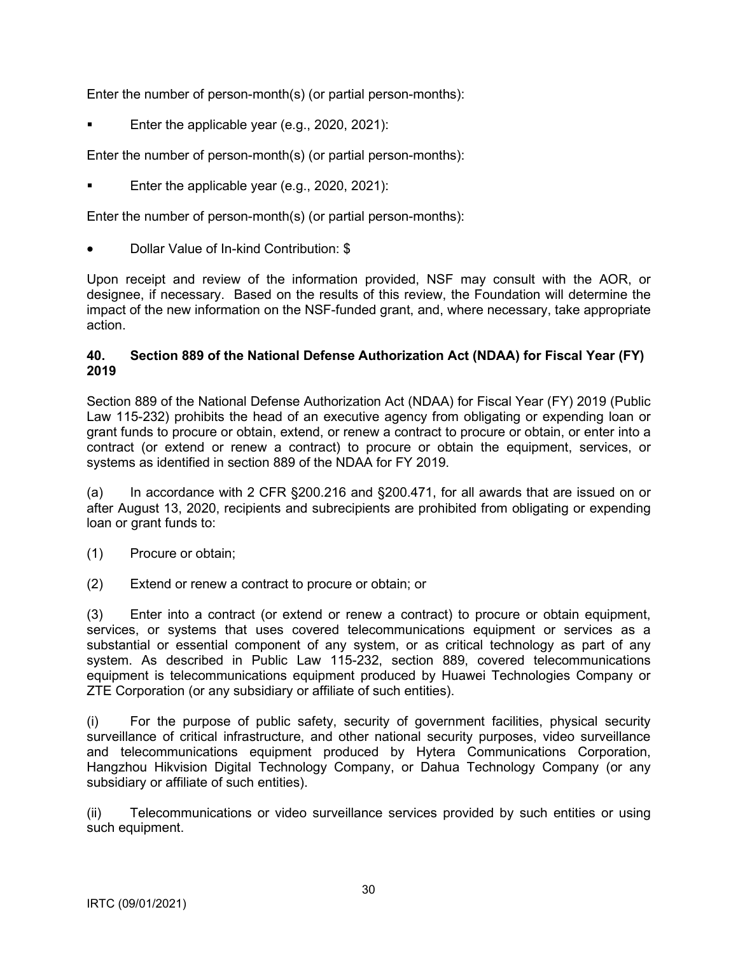<span id="page-29-0"></span>Enter the number of person-month(s) (or partial person-months):

Enter the applicable year (e.g., 2020, 2021):

Enter the number of person-month(s) (or partial person-months):

Enter the applicable year (e.g., 2020, 2021):

Enter the number of person-month(s) (or partial person-months):

• Dollar Value of In-kind Contribution: \$

Upon receipt and review of the information provided, NSF may consult with the AOR, or designee, if necessary. Based on the results of this review, the Foundation will determine the impact of the new information on the NSF-funded grant, and, where necessary, take appropriate action.

### **40. Section 889 of the National Defense Authorization Act (NDAA) for Fiscal Year (FY) 2019**

Section 889 of the National Defense Authorization Act (NDAA) for Fiscal Year (FY) 2019 (Public Law 115-232) prohibits the head of an executive agency from obligating or expending loan or grant funds to procure or obtain, extend, or renew a contract to procure or obtain, or enter into a contract (or extend or renew a contract) to procure or obtain the equipment, services, or systems as identified in section 889 of the NDAA for FY 2019.

(a) In accordance with 2 CFR §200.216 and §200.471, for all awards that are issued on or after August 13, 2020, recipients and subrecipients are prohibited from obligating or expending loan or grant funds to:

- (1) Procure or obtain;
- (2) Extend or renew a contract to procure or obtain; or

(3) Enter into a contract (or extend or renew a contract) to procure or obtain equipment, services, or systems that uses covered telecommunications equipment or services as a substantial or essential component of any system, or as critical technology as part of any system. As described in Public Law 115-232, section 889, covered telecommunications equipment is telecommunications equipment produced by Huawei Technologies Company or ZTE Corporation (or any subsidiary or affiliate of such entities).

(i) For the purpose of public safety, security of government facilities, physical security surveillance of critical infrastructure, and other national security purposes, video surveillance and telecommunications equipment produced by Hytera Communications Corporation, Hangzhou Hikvision Digital Technology Company, or Dahua Technology Company (or any subsidiary or affiliate of such entities).

(ii) Telecommunications or video surveillance services provided by such entities or using such equipment.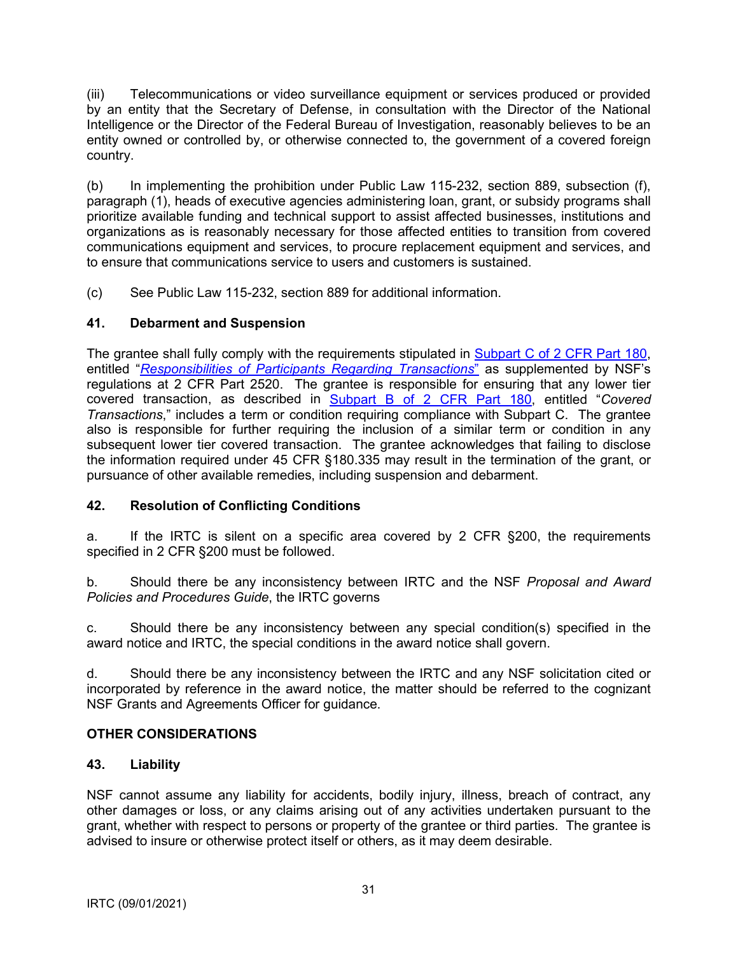<span id="page-30-0"></span>(iii) Telecommunications or video surveillance equipment or services produced or provided by an entity that the Secretary of Defense, in consultation with the Director of the National Intelligence or the Director of the Federal Bureau of Investigation, reasonably believes to be an entity owned or controlled by, or otherwise connected to, the government of a covered foreign country.

(b) In implementing the prohibition under Public Law 115-232, section 889, subsection (f), paragraph (1), heads of executive agencies administering loan, grant, or subsidy programs shall prioritize available funding and technical support to assist affected businesses, institutions and organizations as is reasonably necessary for those affected entities to transition from covered communications equipment and services, to procure replacement equipment and services, and to ensure that communications service to users and customers is sustained.

(c) See Public Law 115-232, section 889 for additional information.

## **41. Debarment and Suspension**

The grantee shall fully comply with the requirements stipulated in [Subpart C of 2 CFR Part 180](http://www.whitehouse.gov/omb/fedreg/2005/083105_debarment.pdf), entitled "*[Responsibilities of Participants Regarding Transactions](http://www.gpo.gov/fdsys/pkg/CFR-2011-title2-vol1/pdf/CFR-2011-title2-vol1-part2520.pdf)*" as supplemented by NSF's regulations at 2 CFR Part 2520. The grantee is responsible for ensuring that any lower tier covered transaction, as described in [Subpart B of 2 CFR Part 180,](http://www.whitehouse.gov/omb/fedreg/2005/083105_debarment.pdf) entitled "*Covered Transactions*," includes a term or condition requiring compliance with Subpart C. The grantee also is responsible for further requiring the inclusion of a similar term or condition in any subsequent lower tier covered transaction. The grantee acknowledges that failing to disclose the information required under 45 CFR §180.335 may result in the termination of the grant, or pursuance of other available remedies, including suspension and debarment.

## **42. Resolution of Conflicting Conditions**

a. If the IRTC is silent on a specific area covered by 2 CFR §200, the requirements specified in 2 CFR §200 must be followed.

b. Should there be any inconsistency between IRTC and the NSF *Proposal and Award Policies and Procedures Guide*, the IRTC governs

c. Should there be any inconsistency between any special condition(s) specified in the award notice and IRTC, the special conditions in the award notice shall govern.

d. Should there be any inconsistency between the IRTC and any NSF solicitation cited or incorporated by reference in the award notice, the matter should be referred to the cognizant NSF Grants and Agreements Officer for guidance.

## **OTHER CONSIDERATIONS**

### **43. Liability**

NSF cannot assume any liability for accidents, bodily injury, illness, breach of contract, any other damages or loss, or any claims arising out of any activities undertaken pursuant to the grant, whether with respect to persons or property of the grantee or third parties. The grantee is advised to insure or otherwise protect itself or others, as it may deem desirable.